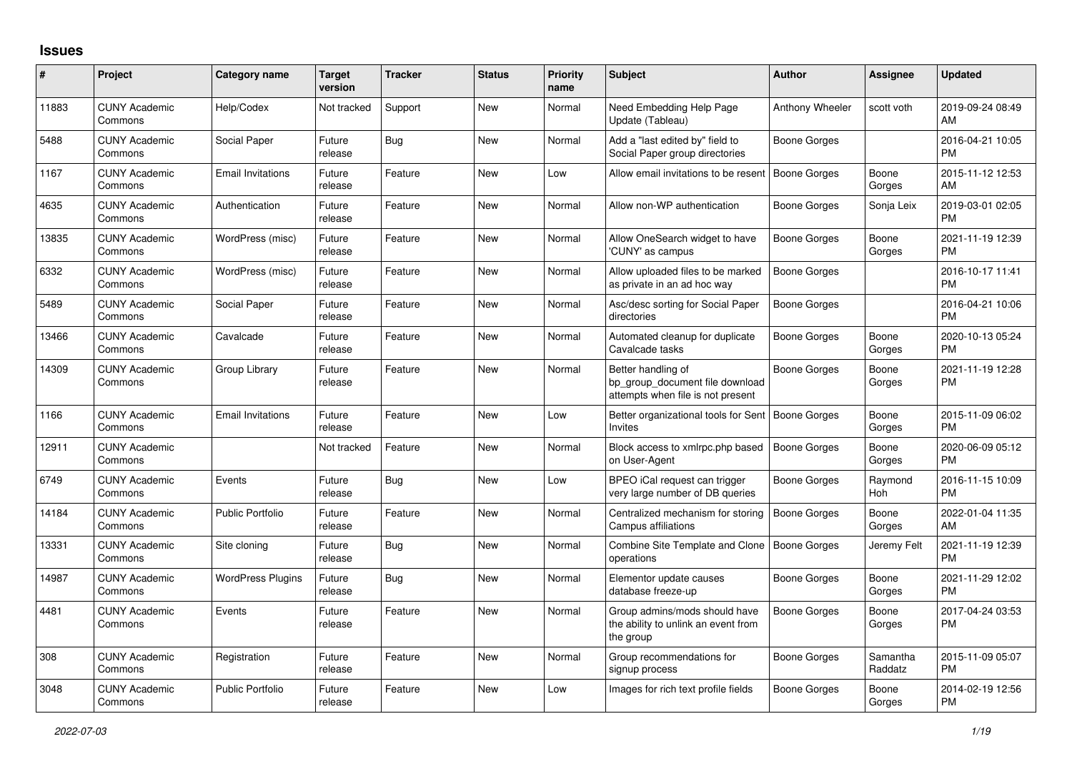## **Issues**

| #     | Project                         | <b>Category name</b>     | <b>Target</b><br>version | <b>Tracker</b> | <b>Status</b> | <b>Priority</b><br>name | <b>Subject</b>                                                                             | <b>Author</b>       | Assignee            | <b>Updated</b>                |
|-------|---------------------------------|--------------------------|--------------------------|----------------|---------------|-------------------------|--------------------------------------------------------------------------------------------|---------------------|---------------------|-------------------------------|
| 11883 | <b>CUNY Academic</b><br>Commons | Help/Codex               | Not tracked              | Support        | New           | Normal                  | Need Embedding Help Page<br>Update (Tableau)                                               | Anthony Wheeler     | scott voth          | 2019-09-24 08:49<br>AM        |
| 5488  | <b>CUNY Academic</b><br>Commons | Social Paper             | Future<br>release        | Bug            | New           | Normal                  | Add a "last edited by" field to<br>Social Paper group directories                          | Boone Gorges        |                     | 2016-04-21 10:05<br><b>PM</b> |
| 1167  | <b>CUNY Academic</b><br>Commons | <b>Email Invitations</b> | Future<br>release        | Feature        | <b>New</b>    | Low                     | Allow email invitations to be resent                                                       | Boone Gorges        | Boone<br>Gorges     | 2015-11-12 12:53<br>AM        |
| 4635  | <b>CUNY Academic</b><br>Commons | Authentication           | Future<br>release        | Feature        | <b>New</b>    | Normal                  | Allow non-WP authentication                                                                | Boone Gorges        | Sonja Leix          | 2019-03-01 02:05<br><b>PM</b> |
| 13835 | <b>CUNY Academic</b><br>Commons | WordPress (misc)         | Future<br>release        | Feature        | New           | Normal                  | Allow OneSearch widget to have<br>'CUNY' as campus                                         | Boone Gorges        | Boone<br>Gorges     | 2021-11-19 12:39<br><b>PM</b> |
| 6332  | <b>CUNY Academic</b><br>Commons | WordPress (misc)         | Future<br>release        | Feature        | New           | Normal                  | Allow uploaded files to be marked<br>as private in an ad hoc way                           | Boone Gorges        |                     | 2016-10-17 11:41<br><b>PM</b> |
| 5489  | <b>CUNY Academic</b><br>Commons | Social Paper             | Future<br>release        | Feature        | <b>New</b>    | Normal                  | Asc/desc sorting for Social Paper<br>directories                                           | Boone Gorges        |                     | 2016-04-21 10:06<br><b>PM</b> |
| 13466 | <b>CUNY Academic</b><br>Commons | Cavalcade                | Future<br>release        | Feature        | <b>New</b>    | Normal                  | Automated cleanup for duplicate<br>Cavalcade tasks                                         | <b>Boone Gorges</b> | Boone<br>Gorges     | 2020-10-13 05:24<br><b>PM</b> |
| 14309 | <b>CUNY Academic</b><br>Commons | Group Library            | Future<br>release        | Feature        | <b>New</b>    | Normal                  | Better handling of<br>bp group document file download<br>attempts when file is not present | Boone Gorges        | Boone<br>Gorges     | 2021-11-19 12:28<br><b>PM</b> |
| 1166  | <b>CUNY Academic</b><br>Commons | <b>Email Invitations</b> | Future<br>release        | Feature        | <b>New</b>    | Low                     | Better organizational tools for Sent<br>Invites                                            | Boone Gorges        | Boone<br>Gorges     | 2015-11-09 06:02<br><b>PM</b> |
| 12911 | <b>CUNY Academic</b><br>Commons |                          | Not tracked              | Feature        | <b>New</b>    | Normal                  | Block access to xmlrpc.php based<br>on User-Agent                                          | <b>Boone Gorges</b> | Boone<br>Gorges     | 2020-06-09 05:12<br><b>PM</b> |
| 6749  | <b>CUNY Academic</b><br>Commons | Events                   | Future<br>release        | Bug            | New           | Low                     | BPEO iCal request can trigger<br>very large number of DB queries                           | Boone Gorges        | Raymond<br>Hoh      | 2016-11-15 10:09<br><b>PM</b> |
| 14184 | <b>CUNY Academic</b><br>Commons | <b>Public Portfolio</b>  | Future<br>release        | Feature        | New           | Normal                  | Centralized mechanism for storing<br>Campus affiliations                                   | Boone Gorges        | Boone<br>Gorges     | 2022-01-04 11:35<br>AM        |
| 13331 | <b>CUNY Academic</b><br>Commons | Site cloning             | Future<br>release        | Bug            | New           | Normal                  | Combine Site Template and Clone<br>operations                                              | Boone Gorges        | Jeremy Felt         | 2021-11-19 12:39<br><b>PM</b> |
| 14987 | <b>CUNY Academic</b><br>Commons | <b>WordPress Plugins</b> | Future<br>release        | <b>Bug</b>     | <b>New</b>    | Normal                  | Elementor update causes<br>database freeze-up                                              | <b>Boone Gorges</b> | Boone<br>Gorges     | 2021-11-29 12:02<br><b>PM</b> |
| 4481  | <b>CUNY Academic</b><br>Commons | Events                   | Future<br>release        | Feature        | <b>New</b>    | Normal                  | Group admins/mods should have<br>the ability to unlink an event from<br>the group          | Boone Gorges        | Boone<br>Gorges     | 2017-04-24 03:53<br><b>PM</b> |
| 308   | <b>CUNY Academic</b><br>Commons | Registration             | Future<br>release        | Feature        | New           | Normal                  | Group recommendations for<br>signup process                                                | Boone Gorges        | Samantha<br>Raddatz | 2015-11-09 05:07<br><b>PM</b> |
| 3048  | <b>CUNY Academic</b><br>Commons | Public Portfolio         | Future<br>release        | Feature        | New           | Low                     | Images for rich text profile fields                                                        | Boone Gorges        | Boone<br>Gorges     | 2014-02-19 12:56<br>PM        |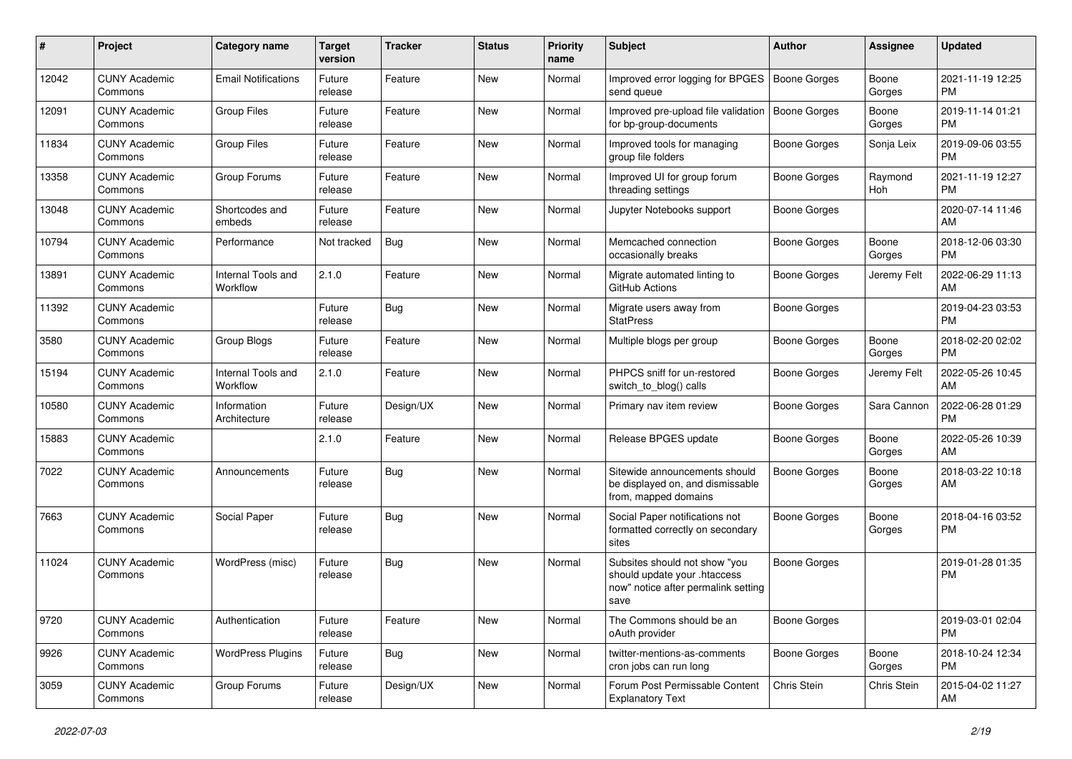| #     | Project                         | Category name                  | <b>Target</b><br>version | <b>Tracker</b> | <b>Status</b> | <b>Priority</b><br>name | <b>Subject</b>                                                                                               | Author              | <b>Assignee</b> | <b>Updated</b>                |
|-------|---------------------------------|--------------------------------|--------------------------|----------------|---------------|-------------------------|--------------------------------------------------------------------------------------------------------------|---------------------|-----------------|-------------------------------|
| 12042 | <b>CUNY Academic</b><br>Commons | <b>Email Notifications</b>     | Future<br>release        | Feature        | <b>New</b>    | Normal                  | Improved error logging for BPGES<br>send queue                                                               | <b>Boone Gorges</b> | Boone<br>Gorges | 2021-11-19 12:25<br><b>PM</b> |
| 12091 | <b>CUNY Academic</b><br>Commons | <b>Group Files</b>             | Future<br>release        | Feature        | New           | Normal                  | Improved pre-upload file validation<br>for bp-group-documents                                                | Boone Gorges        | Boone<br>Gorges | 2019-11-14 01:21<br><b>PM</b> |
| 11834 | <b>CUNY Academic</b><br>Commons | <b>Group Files</b>             | Future<br>release        | Feature        | <b>New</b>    | Normal                  | Improved tools for managing<br>group file folders                                                            | <b>Boone Gorges</b> | Sonja Leix      | 2019-09-06 03:55<br>PM        |
| 13358 | <b>CUNY Academic</b><br>Commons | Group Forums                   | Future<br>release        | Feature        | <b>New</b>    | Normal                  | Improved UI for group forum<br>threading settings                                                            | Boone Gorges        | Raymond<br>Hoh  | 2021-11-19 12:27<br><b>PM</b> |
| 13048 | <b>CUNY Academic</b><br>Commons | Shortcodes and<br>embeds       | Future<br>release        | Feature        | <b>New</b>    | Normal                  | Jupyter Notebooks support                                                                                    | Boone Gorges        |                 | 2020-07-14 11:46<br>AM        |
| 10794 | <b>CUNY Academic</b><br>Commons | Performance                    | Not tracked              | Bug            | <b>New</b>    | Normal                  | Memcached connection<br>occasionally breaks                                                                  | <b>Boone Gorges</b> | Boone<br>Gorges | 2018-12-06 03:30<br><b>PM</b> |
| 13891 | <b>CUNY Academic</b><br>Commons | Internal Tools and<br>Workflow | 2.1.0                    | Feature        | <b>New</b>    | Normal                  | Migrate automated linting to<br>GitHub Actions                                                               | <b>Boone Gorges</b> | Jeremy Felt     | 2022-06-29 11:13<br>AM        |
| 11392 | <b>CUNY Academic</b><br>Commons |                                | Future<br>release        | Bug            | <b>New</b>    | Normal                  | Migrate users away from<br><b>StatPress</b>                                                                  | <b>Boone Gorges</b> |                 | 2019-04-23 03:53<br><b>PM</b> |
| 3580  | <b>CUNY Academic</b><br>Commons | Group Blogs                    | Future<br>release        | Feature        | New           | Normal                  | Multiple blogs per group                                                                                     | <b>Boone Gorges</b> | Boone<br>Gorges | 2018-02-20 02:02<br><b>PM</b> |
| 15194 | <b>CUNY Academic</b><br>Commons | Internal Tools and<br>Workflow | 2.1.0                    | Feature        | <b>New</b>    | Normal                  | PHPCS sniff for un-restored<br>switch_to_blog() calls                                                        | Boone Gorges        | Jeremy Felt     | 2022-05-26 10:45<br>AM        |
| 10580 | <b>CUNY Academic</b><br>Commons | Information<br>Architecture    | Future<br>release        | Design/UX      | <b>New</b>    | Normal                  | Primary nav item review                                                                                      | Boone Gorges        | Sara Cannon     | 2022-06-28 01:29<br><b>PM</b> |
| 15883 | <b>CUNY Academic</b><br>Commons |                                | 2.1.0                    | Feature        | <b>New</b>    | Normal                  | Release BPGES update                                                                                         | Boone Gorges        | Boone<br>Gorges | 2022-05-26 10:39<br>AM        |
| 7022  | <b>CUNY Academic</b><br>Commons | Announcements                  | Future<br>release        | Bug            | New           | Normal                  | Sitewide announcements should<br>be displayed on, and dismissable<br>from, mapped domains                    | <b>Boone Gorges</b> | Boone<br>Gorges | 2018-03-22 10:18<br>AM        |
| 7663  | <b>CUNY Academic</b><br>Commons | Social Paper                   | Future<br>release        | Bug            | New           | Normal                  | Social Paper notifications not<br>formatted correctly on secondary<br>sites                                  | <b>Boone Gorges</b> | Boone<br>Gorges | 2018-04-16 03:52<br><b>PM</b> |
| 11024 | <b>CUNY Academic</b><br>Commons | WordPress (misc)               | Future<br>release        | Bug            | New           | Normal                  | Subsites should not show "you<br>should update your .htaccess<br>now" notice after permalink setting<br>save | <b>Boone Gorges</b> |                 | 2019-01-28 01:35<br><b>PM</b> |
| 9720  | <b>CUNY Academic</b><br>Commons | Authentication                 | Future<br>release        | Feature        | New           | Normal                  | The Commons should be an<br>oAuth provider                                                                   | <b>Boone Gorges</b> |                 | 2019-03-01 02:04<br>PM.       |
| 9926  | <b>CUNY Academic</b><br>Commons | <b>WordPress Plugins</b>       | Future<br>release        | Bug            | New           | Normal                  | twitter-mentions-as-comments<br>cron jobs can run long                                                       | Boone Gorges        | Boone<br>Gorges | 2018-10-24 12:34<br><b>PM</b> |
| 3059  | <b>CUNY Academic</b><br>Commons | Group Forums                   | Future<br>release        | Design/UX      | New           | Normal                  | Forum Post Permissable Content<br><b>Explanatory Text</b>                                                    | Chris Stein         | Chris Stein     | 2015-04-02 11:27<br>AM        |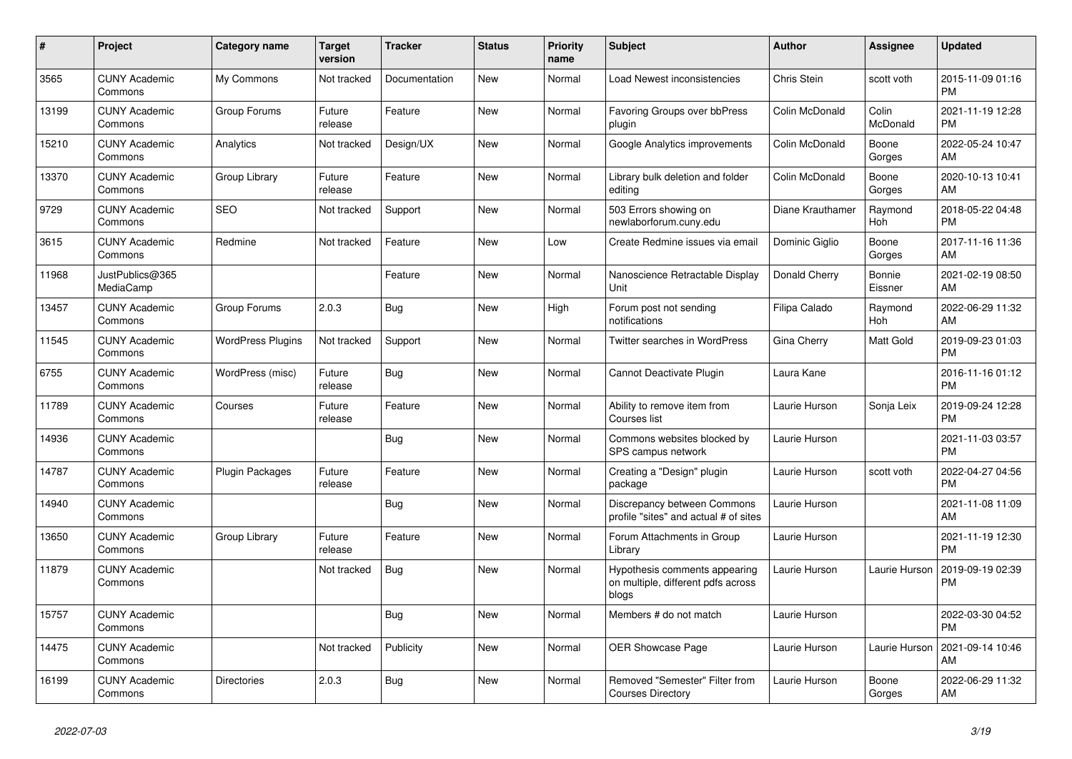| $\pmb{\#}$ | <b>Project</b>                  | <b>Category name</b>     | <b>Target</b><br>version | <b>Tracker</b> | <b>Status</b> | <b>Priority</b><br>name | <b>Subject</b>                                                               | <b>Author</b>    | Assignee          | <b>Updated</b>                |
|------------|---------------------------------|--------------------------|--------------------------|----------------|---------------|-------------------------|------------------------------------------------------------------------------|------------------|-------------------|-------------------------------|
| 3565       | <b>CUNY Academic</b><br>Commons | My Commons               | Not tracked              | Documentation  | New           | Normal                  | Load Newest inconsistencies                                                  | Chris Stein      | scott voth        | 2015-11-09 01:16<br><b>PM</b> |
| 13199      | <b>CUNY Academic</b><br>Commons | Group Forums             | Future<br>release        | Feature        | <b>New</b>    | Normal                  | Favoring Groups over bbPress<br>plugin                                       | Colin McDonald   | Colin<br>McDonald | 2021-11-19 12:28<br><b>PM</b> |
| 15210      | <b>CUNY Academic</b><br>Commons | Analytics                | Not tracked              | Design/UX      | New           | Normal                  | Google Analytics improvements                                                | Colin McDonald   | Boone<br>Gorges   | 2022-05-24 10:47<br>AM        |
| 13370      | <b>CUNY Academic</b><br>Commons | Group Library            | Future<br>release        | Feature        | <b>New</b>    | Normal                  | Library bulk deletion and folder<br>editing                                  | Colin McDonald   | Boone<br>Gorges   | 2020-10-13 10:41<br>AM        |
| 9729       | <b>CUNY Academic</b><br>Commons | <b>SEO</b>               | Not tracked              | Support        | New           | Normal                  | 503 Errors showing on<br>newlaborforum.cuny.edu                              | Diane Krauthamer | Raymond<br>Hoh    | 2018-05-22 04:48<br><b>PM</b> |
| 3615       | <b>CUNY Academic</b><br>Commons | Redmine                  | Not tracked              | Feature        | New           | Low                     | Create Redmine issues via email                                              | Dominic Giglio   | Boone<br>Gorges   | 2017-11-16 11:36<br>AM        |
| 11968      | JustPublics@365<br>MediaCamp    |                          |                          | Feature        | <b>New</b>    | Normal                  | Nanoscience Retractable Display<br>Unit                                      | Donald Cherry    | Bonnie<br>Eissner | 2021-02-19 08:50<br>AM        |
| 13457      | <b>CUNY Academic</b><br>Commons | Group Forums             | 2.0.3                    | Bug            | <b>New</b>    | High                    | Forum post not sending<br>notifications                                      | Filipa Calado    | Raymond<br>Hoh    | 2022-06-29 11:32<br>AM        |
| 11545      | <b>CUNY Academic</b><br>Commons | <b>WordPress Plugins</b> | Not tracked              | Support        | New           | Normal                  | <b>Twitter searches in WordPress</b>                                         | Gina Cherry      | Matt Gold         | 2019-09-23 01:03<br><b>PM</b> |
| 6755       | <b>CUNY Academic</b><br>Commons | WordPress (misc)         | Future<br>release        | Bug            | New           | Normal                  | Cannot Deactivate Plugin                                                     | Laura Kane       |                   | 2016-11-16 01:12<br><b>PM</b> |
| 11789      | <b>CUNY Academic</b><br>Commons | Courses                  | Future<br>release        | Feature        | <b>New</b>    | Normal                  | Ability to remove item from<br>Courses list                                  | Laurie Hurson    | Sonja Leix        | 2019-09-24 12:28<br><b>PM</b> |
| 14936      | <b>CUNY Academic</b><br>Commons |                          |                          | Bug            | New           | Normal                  | Commons websites blocked by<br>SPS campus network                            | Laurie Hurson    |                   | 2021-11-03 03:57<br><b>PM</b> |
| 14787      | <b>CUNY Academic</b><br>Commons | <b>Plugin Packages</b>   | Future<br>release        | Feature        | New           | Normal                  | Creating a "Design" plugin<br>package                                        | Laurie Hurson    | scott voth        | 2022-04-27 04:56<br><b>PM</b> |
| 14940      | <b>CUNY Academic</b><br>Commons |                          |                          | <b>Bug</b>     | <b>New</b>    | Normal                  | Discrepancy between Commons<br>profile "sites" and actual # of sites         | Laurie Hurson    |                   | 2021-11-08 11:09<br>AM        |
| 13650      | <b>CUNY Academic</b><br>Commons | Group Library            | Future<br>release        | Feature        | <b>New</b>    | Normal                  | Forum Attachments in Group<br>Library                                        | Laurie Hurson    |                   | 2021-11-19 12:30<br><b>PM</b> |
| 11879      | <b>CUNY Academic</b><br>Commons |                          | Not tracked              | <b>Bug</b>     | New           | Normal                  | Hypothesis comments appearing<br>on multiple, different pdfs across<br>blogs | Laurie Hurson    | Laurie Hurson     | 2019-09-19 02:39<br><b>PM</b> |
| 15757      | <b>CUNY Academic</b><br>Commons |                          |                          | Bug            | <b>New</b>    | Normal                  | Members # do not match                                                       | Laurie Hurson    |                   | 2022-03-30 04:52<br><b>PM</b> |
| 14475      | <b>CUNY Academic</b><br>Commons |                          | Not tracked              | Publicity      | New           | Normal                  | <b>OER Showcase Page</b>                                                     | Laurie Hurson    | Laurie Hurson     | 2021-09-14 10:46<br>AM        |
| 16199      | <b>CUNY Academic</b><br>Commons | <b>Directories</b>       | 2.0.3                    | Bug            | <b>New</b>    | Normal                  | Removed "Semester" Filter from<br><b>Courses Directory</b>                   | Laurie Hurson    | Boone<br>Gorges   | 2022-06-29 11:32<br>AM        |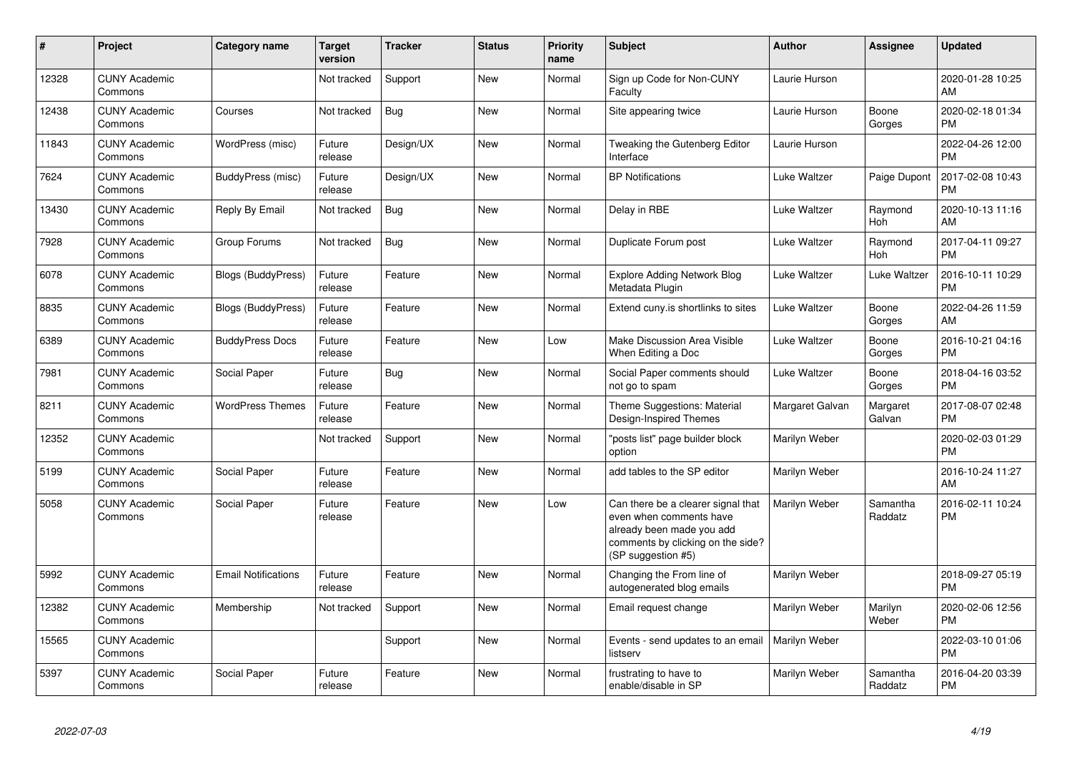| #     | Project                         | <b>Category name</b>       | Target<br>version | <b>Tracker</b> | <b>Status</b> | <b>Priority</b><br>name | <b>Subject</b>                                                                                                                                        | <b>Author</b>   | Assignee            | <b>Updated</b>                |
|-------|---------------------------------|----------------------------|-------------------|----------------|---------------|-------------------------|-------------------------------------------------------------------------------------------------------------------------------------------------------|-----------------|---------------------|-------------------------------|
| 12328 | <b>CUNY Academic</b><br>Commons |                            | Not tracked       | Support        | New           | Normal                  | Sign up Code for Non-CUNY<br>Faculty                                                                                                                  | Laurie Hurson   |                     | 2020-01-28 10:25<br>AM        |
| 12438 | <b>CUNY Academic</b><br>Commons | Courses                    | Not tracked       | Bug            | <b>New</b>    | Normal                  | Site appearing twice                                                                                                                                  | Laurie Hurson   | Boone<br>Gorges     | 2020-02-18 01:34<br><b>PM</b> |
| 11843 | <b>CUNY Academic</b><br>Commons | WordPress (misc)           | Future<br>release | Design/UX      | New           | Normal                  | Tweaking the Gutenberg Editor<br>Interface                                                                                                            | Laurie Hurson   |                     | 2022-04-26 12:00<br><b>PM</b> |
| 7624  | <b>CUNY Academic</b><br>Commons | BuddyPress (misc)          | Future<br>release | Design/UX      | New           | Normal                  | <b>BP Notifications</b>                                                                                                                               | Luke Waltzer    | Paige Dupont        | 2017-02-08 10:43<br><b>PM</b> |
| 13430 | <b>CUNY Academic</b><br>Commons | Reply By Email             | Not tracked       | Bug            | New           | Normal                  | Delay in RBE                                                                                                                                          | Luke Waltzer    | Raymond<br>Hoh      | 2020-10-13 11:16<br><b>AM</b> |
| 7928  | <b>CUNY Academic</b><br>Commons | Group Forums               | Not tracked       | <b>Bug</b>     | New           | Normal                  | Duplicate Forum post                                                                                                                                  | Luke Waltzer    | Raymond<br>Hoh      | 2017-04-11 09:27<br><b>PM</b> |
| 6078  | <b>CUNY Academic</b><br>Commons | <b>Blogs (BuddyPress)</b>  | Future<br>release | Feature        | <b>New</b>    | Normal                  | Explore Adding Network Blog<br>Metadata Plugin                                                                                                        | Luke Waltzer    | Luke Waltzer        | 2016-10-11 10:29<br><b>PM</b> |
| 8835  | <b>CUNY Academic</b><br>Commons | <b>Blogs (BuddyPress)</b>  | Future<br>release | Feature        | <b>New</b>    | Normal                  | Extend cuny is shortlinks to sites                                                                                                                    | Luke Waltzer    | Boone<br>Gorges     | 2022-04-26 11:59<br>AM        |
| 6389  | <b>CUNY Academic</b><br>Commons | <b>BuddyPress Docs</b>     | Future<br>release | Feature        | <b>New</b>    | Low                     | Make Discussion Area Visible<br>When Editing a Doc                                                                                                    | Luke Waltzer    | Boone<br>Gorges     | 2016-10-21 04:16<br>PM        |
| 7981  | <b>CUNY Academic</b><br>Commons | Social Paper               | Future<br>release | Bug            | <b>New</b>    | Normal                  | Social Paper comments should<br>not go to spam                                                                                                        | Luke Waltzer    | Boone<br>Gorges     | 2018-04-16 03:52<br><b>PM</b> |
| 8211  | <b>CUNY Academic</b><br>Commons | <b>WordPress Themes</b>    | Future<br>release | Feature        | <b>New</b>    | Normal                  | Theme Suggestions: Material<br>Design-Inspired Themes                                                                                                 | Margaret Galvan | Margaret<br>Galvan  | 2017-08-07 02:48<br><b>PM</b> |
| 12352 | <b>CUNY Academic</b><br>Commons |                            | Not tracked       | Support        | New           | Normal                  | 'posts list" page builder block<br>option                                                                                                             | Marilyn Weber   |                     | 2020-02-03 01:29<br><b>PM</b> |
| 5199  | <b>CUNY Academic</b><br>Commons | Social Paper               | Future<br>release | Feature        | New           | Normal                  | add tables to the SP editor                                                                                                                           | Marilyn Weber   |                     | 2016-10-24 11:27<br><b>AM</b> |
| 5058  | <b>CUNY Academic</b><br>Commons | Social Paper               | Future<br>release | Feature        | <b>New</b>    | Low                     | Can there be a clearer signal that<br>even when comments have<br>already been made you add<br>comments by clicking on the side?<br>(SP suggestion #5) | Marilyn Weber   | Samantha<br>Raddatz | 2016-02-11 10:24<br><b>PM</b> |
| 5992  | <b>CUNY Academic</b><br>Commons | <b>Email Notifications</b> | Future<br>release | Feature        | New           | Normal                  | Changing the From line of<br>autogenerated blog emails                                                                                                | Marilyn Weber   |                     | 2018-09-27 05:19<br><b>PM</b> |
| 12382 | <b>CUNY Academic</b><br>Commons | Membership                 | Not tracked       | Support        | New           | Normal                  | Email request change                                                                                                                                  | Marilyn Weber   | Marilyn<br>Weber    | 2020-02-06 12:56<br><b>PM</b> |
| 15565 | <b>CUNY Academic</b><br>Commons |                            |                   | Support        | <b>New</b>    | Normal                  | Events - send updates to an email<br>listserv                                                                                                         | Marilyn Weber   |                     | 2022-03-10 01:06<br><b>PM</b> |
| 5397  | <b>CUNY Academic</b><br>Commons | Social Paper               | Future<br>release | Feature        | <b>New</b>    | Normal                  | frustrating to have to<br>enable/disable in SP                                                                                                        | Marilyn Weber   | Samantha<br>Raddatz | 2016-04-20 03:39<br>PM        |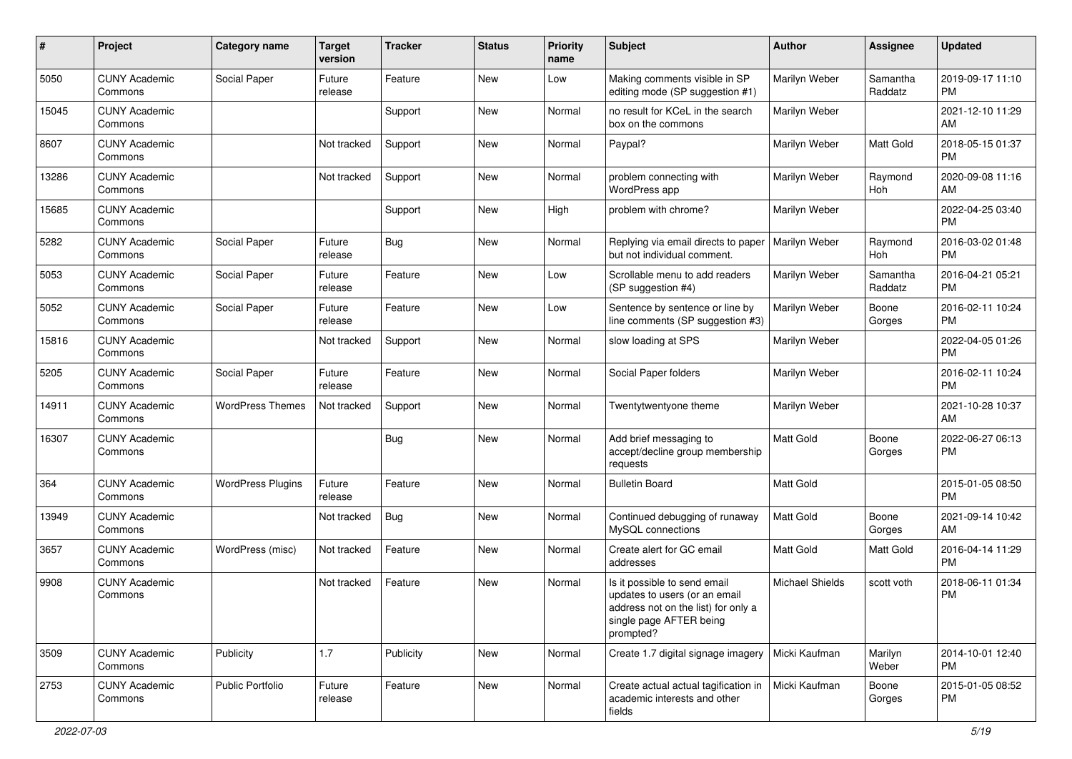| #     | Project                         | <b>Category name</b>     | <b>Target</b><br>version | Tracker   | <b>Status</b> | <b>Priority</b><br>name | <b>Subject</b>                                                                                                                               | Author           | Assignee            | <b>Updated</b>                |
|-------|---------------------------------|--------------------------|--------------------------|-----------|---------------|-------------------------|----------------------------------------------------------------------------------------------------------------------------------------------|------------------|---------------------|-------------------------------|
| 5050  | <b>CUNY Academic</b><br>Commons | Social Paper             | Future<br>release        | Feature   | New           | Low                     | Making comments visible in SP<br>editing mode (SP suggestion #1)                                                                             | Marilyn Weber    | Samantha<br>Raddatz | 2019-09-17 11:10<br><b>PM</b> |
| 15045 | <b>CUNY Academic</b><br>Commons |                          |                          | Support   | New           | Normal                  | no result for KCeL in the search<br>box on the commons                                                                                       | Marilyn Weber    |                     | 2021-12-10 11:29<br>AM        |
| 8607  | <b>CUNY Academic</b><br>Commons |                          | Not tracked              | Support   | New           | Normal                  | Paypal?                                                                                                                                      | Marilyn Weber    | Matt Gold           | 2018-05-15 01:37<br><b>PM</b> |
| 13286 | <b>CUNY Academic</b><br>Commons |                          | Not tracked              | Support   | New           | Normal                  | problem connecting with<br>WordPress app                                                                                                     | Marilyn Weber    | Raymond<br>Hoh      | 2020-09-08 11:16<br>AM        |
| 15685 | <b>CUNY Academic</b><br>Commons |                          |                          | Support   | New           | High                    | problem with chrome?                                                                                                                         | Marilyn Weber    |                     | 2022-04-25 03:40<br><b>PM</b> |
| 5282  | <b>CUNY Academic</b><br>Commons | Social Paper             | Future<br>release        | Bug       | New           | Normal                  | Replying via email directs to paper<br>but not individual comment.                                                                           | Marilyn Weber    | Raymond<br>Hoh      | 2016-03-02 01:48<br><b>PM</b> |
| 5053  | <b>CUNY Academic</b><br>Commons | Social Paper             | Future<br>release        | Feature   | New           | Low                     | Scrollable menu to add readers<br>(SP suggestion #4)                                                                                         | Marilyn Weber    | Samantha<br>Raddatz | 2016-04-21 05:21<br><b>PM</b> |
| 5052  | <b>CUNY Academic</b><br>Commons | Social Paper             | Future<br>release        | Feature   | New           | Low                     | Sentence by sentence or line by<br>line comments (SP suggestion #3)                                                                          | Marilyn Weber    | Boone<br>Gorges     | 2016-02-11 10:24<br><b>PM</b> |
| 15816 | <b>CUNY Academic</b><br>Commons |                          | Not tracked              | Support   | New           | Normal                  | slow loading at SPS                                                                                                                          | Marilyn Weber    |                     | 2022-04-05 01:26<br><b>PM</b> |
| 5205  | <b>CUNY Academic</b><br>Commons | Social Paper             | Future<br>release        | Feature   | New           | Normal                  | Social Paper folders                                                                                                                         | Marilyn Weber    |                     | 2016-02-11 10:24<br><b>PM</b> |
| 14911 | <b>CUNY Academic</b><br>Commons | <b>WordPress Themes</b>  | Not tracked              | Support   | New           | Normal                  | Twentytwentyone theme                                                                                                                        | Marilyn Weber    |                     | 2021-10-28 10:37<br>AM        |
| 16307 | <b>CUNY Academic</b><br>Commons |                          |                          | Bug       | New           | Normal                  | Add brief messaging to<br>accept/decline group membership<br>requests                                                                        | Matt Gold        | Boone<br>Gorges     | 2022-06-27 06:13<br><b>PM</b> |
| 364   | <b>CUNY Academic</b><br>Commons | <b>WordPress Plugins</b> | Future<br>release        | Feature   | New           | Normal                  | <b>Bulletin Board</b>                                                                                                                        | <b>Matt Gold</b> |                     | 2015-01-05 08:50<br><b>PM</b> |
| 13949 | <b>CUNY Academic</b><br>Commons |                          | Not tracked              | Bug       | New           | Normal                  | Continued debugging of runaway<br>MySQL connections                                                                                          | Matt Gold        | Boone<br>Gorges     | 2021-09-14 10:42<br>AM        |
| 3657  | <b>CUNY Academic</b><br>Commons | WordPress (misc)         | Not tracked              | Feature   | <b>New</b>    | Normal                  | Create alert for GC email<br>addresses                                                                                                       | <b>Matt Gold</b> | Matt Gold           | 2016-04-14 11:29<br><b>PM</b> |
| 9908  | <b>CUNY Academic</b><br>Commons |                          | Not tracked              | Feature   | <b>New</b>    | Normal                  | Is it possible to send email<br>updates to users (or an email<br>address not on the list) for only a<br>single page AFTER being<br>prompted? | Michael Shields  | scott voth          | 2018-06-11 01:34<br><b>PM</b> |
| 3509  | <b>CUNY Academic</b><br>Commons | Publicity                | 1.7                      | Publicity | New           | Normal                  | Create 1.7 digital signage imagery   Micki Kaufman                                                                                           |                  | Marilyn<br>Weber    | 2014-10-01 12:40<br><b>PM</b> |
| 2753  | <b>CUNY Academic</b><br>Commons | Public Portfolio         | Future<br>release        | Feature   | New           | Normal                  | Create actual actual tagification in<br>academic interests and other<br>fields                                                               | Micki Kaufman    | Boone<br>Gorges     | 2015-01-05 08:52<br><b>PM</b> |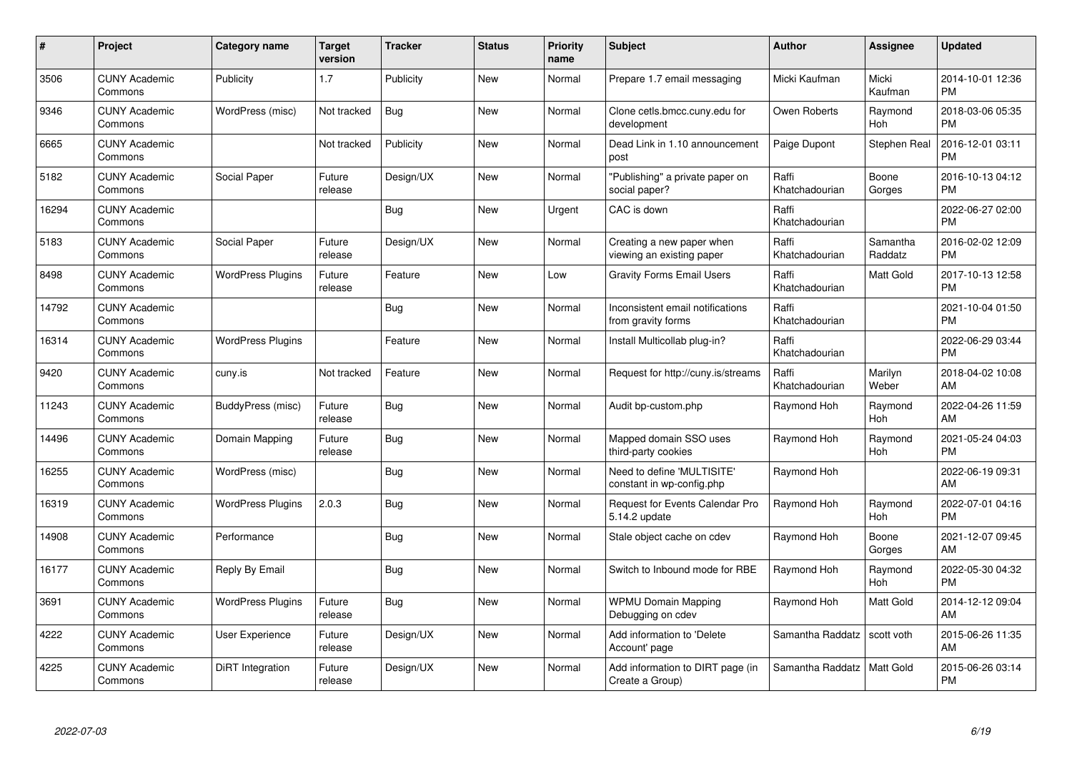| #     | <b>Project</b>                  | Category name            | <b>Target</b><br>version | <b>Tracker</b> | <b>Status</b> | <b>Priority</b><br>name | <b>Subject</b>                                          | <b>Author</b>           | Assignee            | <b>Updated</b>                |
|-------|---------------------------------|--------------------------|--------------------------|----------------|---------------|-------------------------|---------------------------------------------------------|-------------------------|---------------------|-------------------------------|
| 3506  | <b>CUNY Academic</b><br>Commons | Publicity                | 1.7                      | Publicity      | <b>New</b>    | Normal                  | Prepare 1.7 email messaging                             | Micki Kaufman           | Micki<br>Kaufman    | 2014-10-01 12:36<br><b>PM</b> |
| 9346  | <b>CUNY Academic</b><br>Commons | WordPress (misc)         | Not tracked              | <b>Bug</b>     | New           | Normal                  | Clone cetls.bmcc.cuny.edu for<br>development            | Owen Roberts            | Raymond<br>Hoh      | 2018-03-06 05:35<br><b>PM</b> |
| 6665  | <b>CUNY Academic</b><br>Commons |                          | Not tracked              | Publicity      | New           | Normal                  | Dead Link in 1.10 announcement<br>post                  | Paige Dupont            | Stephen Real        | 2016-12-01 03:11<br><b>PM</b> |
| 5182  | <b>CUNY Academic</b><br>Commons | Social Paper             | Future<br>release        | Design/UX      | New           | Normal                  | "Publishing" a private paper on<br>social paper?        | Raffi<br>Khatchadourian | Boone<br>Gorges     | 2016-10-13 04:12<br><b>PM</b> |
| 16294 | <b>CUNY Academic</b><br>Commons |                          |                          | Bug            | <b>New</b>    | Urgent                  | CAC is down                                             | Raffi<br>Khatchadourian |                     | 2022-06-27 02:00<br><b>PM</b> |
| 5183  | <b>CUNY Academic</b><br>Commons | Social Paper             | Future<br>release        | Design/UX      | <b>New</b>    | Normal                  | Creating a new paper when<br>viewing an existing paper  | Raffi<br>Khatchadourian | Samantha<br>Raddatz | 2016-02-02 12:09<br><b>PM</b> |
| 8498  | <b>CUNY Academic</b><br>Commons | <b>WordPress Plugins</b> | Future<br>release        | Feature        | <b>New</b>    | Low                     | <b>Gravity Forms Email Users</b>                        | Raffi<br>Khatchadourian | Matt Gold           | 2017-10-13 12:58<br><b>PM</b> |
| 14792 | <b>CUNY Academic</b><br>Commons |                          |                          | Bug            | <b>New</b>    | Normal                  | Inconsistent email notifications<br>from gravity forms  | Raffi<br>Khatchadourian |                     | 2021-10-04 01:50<br><b>PM</b> |
| 16314 | <b>CUNY Academic</b><br>Commons | <b>WordPress Plugins</b> |                          | Feature        | <b>New</b>    | Normal                  | Install Multicollab plug-in?                            | Raffi<br>Khatchadourian |                     | 2022-06-29 03:44<br><b>PM</b> |
| 9420  | <b>CUNY Academic</b><br>Commons | cuny.is                  | Not tracked              | Feature        | <b>New</b>    | Normal                  | Request for http://cuny.is/streams                      | Raffi<br>Khatchadourian | Marilyn<br>Weber    | 2018-04-02 10:08<br>AM        |
| 11243 | <b>CUNY Academic</b><br>Commons | BuddyPress (misc)        | Future<br>release        | <b>Bug</b>     | <b>New</b>    | Normal                  | Audit bp-custom.php                                     | Raymond Hoh             | Raymond<br>Hoh      | 2022-04-26 11:59<br>AM        |
| 14496 | <b>CUNY Academic</b><br>Commons | Domain Mapping           | Future<br>release        | Bug            | <b>New</b>    | Normal                  | Mapped domain SSO uses<br>third-party cookies           | Raymond Hoh             | Raymond<br>Hoh      | 2021-05-24 04:03<br><b>PM</b> |
| 16255 | <b>CUNY Academic</b><br>Commons | WordPress (misc)         |                          | Bug            | <b>New</b>    | Normal                  | Need to define 'MULTISITE'<br>constant in wp-config.php | Raymond Hoh             |                     | 2022-06-19 09:31<br>AM        |
| 16319 | <b>CUNY Academic</b><br>Commons | <b>WordPress Plugins</b> | 2.0.3                    | Bug            | New           | Normal                  | Request for Events Calendar Pro<br>5.14.2 update        | Raymond Hoh             | Raymond<br>Hoh      | 2022-07-01 04:16<br><b>PM</b> |
| 14908 | <b>CUNY Academic</b><br>Commons | Performance              |                          | Bug            | New           | Normal                  | Stale object cache on cdev                              | Raymond Hoh             | Boone<br>Gorges     | 2021-12-07 09:45<br>AM        |
| 16177 | <b>CUNY Academic</b><br>Commons | Reply By Email           |                          | Bug            | New           | Normal                  | Switch to Inbound mode for RBE                          | Raymond Hoh             | Raymond<br>Hoh      | 2022-05-30 04:32<br><b>PM</b> |
| 3691  | <b>CUNY Academic</b><br>Commons | <b>WordPress Plugins</b> | Future<br>release        | Bug            | New           | Normal                  | <b>WPMU Domain Mapping</b><br>Debugging on cdev         | Raymond Hoh             | Matt Gold           | 2014-12-12 09:04<br>AM        |
| 4222  | <b>CUNY Academic</b><br>Commons | <b>User Experience</b>   | Future<br>release        | Design/UX      | <b>New</b>    | Normal                  | Add information to 'Delete<br>Account' page             | Samantha Raddatz        | scott voth          | 2015-06-26 11:35<br>AM        |
| 4225  | <b>CUNY Academic</b><br>Commons | <b>DiRT</b> Integration  | Future<br>release        | Design/UX      | <b>New</b>    | Normal                  | Add information to DIRT page (in<br>Create a Group)     | Samantha Raddatz        | Matt Gold           | 2015-06-26 03:14<br><b>PM</b> |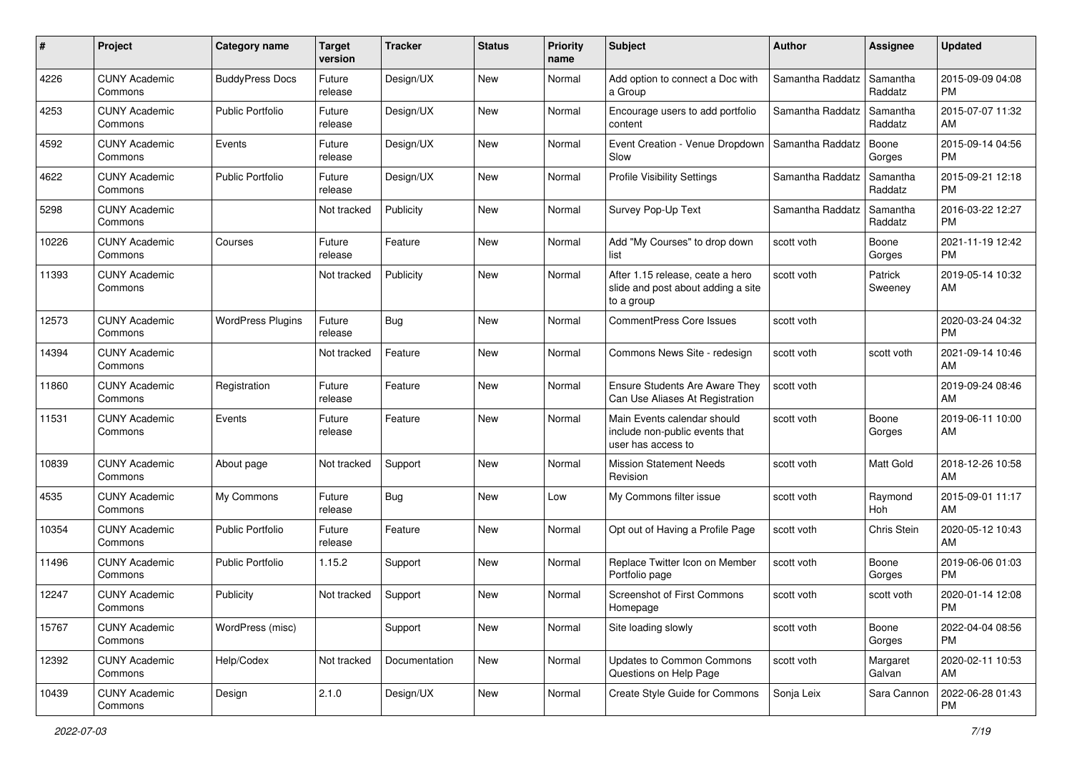| #     | Project                         | <b>Category name</b>     | <b>Target</b><br>version | <b>Tracker</b> | <b>Status</b> | <b>Priority</b><br>name | Subject                                                                              | <b>Author</b>    | <b>Assignee</b>     | <b>Updated</b>                |
|-------|---------------------------------|--------------------------|--------------------------|----------------|---------------|-------------------------|--------------------------------------------------------------------------------------|------------------|---------------------|-------------------------------|
| 4226  | <b>CUNY Academic</b><br>Commons | <b>BuddyPress Docs</b>   | Future<br>release        | Design/UX      | New           | Normal                  | Add option to connect a Doc with<br>a Group                                          | Samantha Raddatz | Samantha<br>Raddatz | 2015-09-09 04:08<br><b>PM</b> |
| 4253  | <b>CUNY Academic</b><br>Commons | <b>Public Portfolio</b>  | Future<br>release        | Design/UX      | New           | Normal                  | Encourage users to add portfolio<br>content                                          | Samantha Raddatz | Samantha<br>Raddatz | 2015-07-07 11:32<br>AM        |
| 4592  | <b>CUNY Academic</b><br>Commons | Events                   | Future<br>release        | Design/UX      | New           | Normal                  | Event Creation - Venue Dropdown<br>Slow                                              | Samantha Raddatz | Boone<br>Gorges     | 2015-09-14 04:56<br><b>PM</b> |
| 4622  | <b>CUNY Academic</b><br>Commons | Public Portfolio         | Future<br>release        | Design/UX      | New           | Normal                  | <b>Profile Visibility Settings</b>                                                   | Samantha Raddatz | Samantha<br>Raddatz | 2015-09-21 12:18<br><b>PM</b> |
| 5298  | <b>CUNY Academic</b><br>Commons |                          | Not tracked              | Publicity      | New           | Normal                  | Survey Pop-Up Text                                                                   | Samantha Raddatz | Samantha<br>Raddatz | 2016-03-22 12:27<br><b>PM</b> |
| 10226 | <b>CUNY Academic</b><br>Commons | Courses                  | Future<br>release        | Feature        | New           | Normal                  | Add "My Courses" to drop down<br>list                                                | scott voth       | Boone<br>Gorges     | 2021-11-19 12:42<br>PM.       |
| 11393 | <b>CUNY Academic</b><br>Commons |                          | Not tracked              | Publicity      | <b>New</b>    | Normal                  | After 1.15 release, ceate a hero<br>slide and post about adding a site<br>to a group | scott voth       | Patrick<br>Sweeney  | 2019-05-14 10:32<br>AM.       |
| 12573 | <b>CUNY Academic</b><br>Commons | <b>WordPress Plugins</b> | Future<br>release        | <b>Bug</b>     | New           | Normal                  | <b>CommentPress Core Issues</b>                                                      | scott voth       |                     | 2020-03-24 04:32<br><b>PM</b> |
| 14394 | <b>CUNY Academic</b><br>Commons |                          | Not tracked              | Feature        | <b>New</b>    | Normal                  | Commons News Site - redesign                                                         | scott voth       | scott voth          | 2021-09-14 10:46<br>AM.       |
| 11860 | <b>CUNY Academic</b><br>Commons | Registration             | Future<br>release        | Feature        | New           | Normal                  | Ensure Students Are Aware They<br>Can Use Aliases At Registration                    | scott voth       |                     | 2019-09-24 08:46<br>AM        |
| 11531 | <b>CUNY Academic</b><br>Commons | Events                   | Future<br>release        | Feature        | New           | Normal                  | Main Events calendar should<br>include non-public events that<br>user has access to  | scott voth       | Boone<br>Gorges     | 2019-06-11 10:00<br>AM        |
| 10839 | <b>CUNY Academic</b><br>Commons | About page               | Not tracked              | Support        | New           | Normal                  | <b>Mission Statement Needs</b><br>Revision                                           | scott voth       | Matt Gold           | 2018-12-26 10:58<br>AM        |
| 4535  | <b>CUNY Academic</b><br>Commons | My Commons               | Future<br>release        | Bug            | New           | Low                     | My Commons filter issue                                                              | scott voth       | Raymond<br>Hoh      | 2015-09-01 11:17<br>AM        |
| 10354 | <b>CUNY Academic</b><br>Commons | Public Portfolio         | Future<br>release        | Feature        | New           | Normal                  | Opt out of Having a Profile Page                                                     | scott voth       | Chris Stein         | 2020-05-12 10:43<br>AM        |
| 11496 | <b>CUNY Academic</b><br>Commons | Public Portfolio         | 1.15.2                   | Support        | New           | Normal                  | Replace Twitter Icon on Member<br>Portfolio page                                     | scott voth       | Boone<br>Gorges     | 2019-06-06 01:03<br><b>PM</b> |
| 12247 | <b>CUNY Academic</b><br>Commons | Publicity                | Not tracked              | Support        | New           | Normal                  | Screenshot of First Commons<br>Homepage                                              | scott voth       | scott voth          | 2020-01-14 12:08<br><b>PM</b> |
| 15767 | <b>CUNY Academic</b><br>Commons | WordPress (misc)         |                          | Support        | New           | Normal                  | Site loading slowly                                                                  | scott voth       | Boone<br>Gorges     | 2022-04-04 08:56<br>PM.       |
| 12392 | <b>CUNY Academic</b><br>Commons | Help/Codex               | Not tracked              | Documentation  | New           | Normal                  | <b>Updates to Common Commons</b><br>Questions on Help Page                           | scott voth       | Margaret<br>Galvan  | 2020-02-11 10:53<br>AM        |
| 10439 | <b>CUNY Academic</b><br>Commons | Design                   | 2.1.0                    | Design/UX      | New           | Normal                  | Create Style Guide for Commons                                                       | Sonja Leix       | Sara Cannon         | 2022-06-28 01:43<br><b>PM</b> |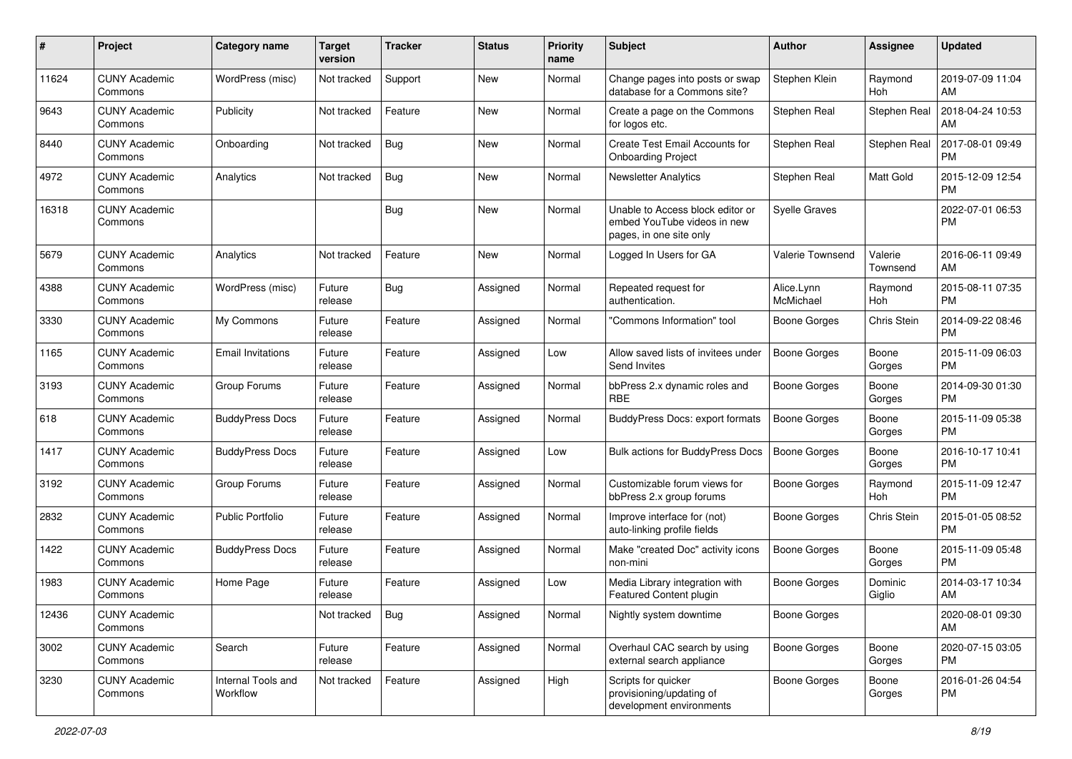| #     | Project                         | <b>Category name</b>           | <b>Target</b><br>version | <b>Tracker</b> | <b>Status</b> | Priority<br>name | <b>Subject</b>                                                                             | Author                  | <b>Assignee</b>     | <b>Updated</b>                |
|-------|---------------------------------|--------------------------------|--------------------------|----------------|---------------|------------------|--------------------------------------------------------------------------------------------|-------------------------|---------------------|-------------------------------|
| 11624 | <b>CUNY Academic</b><br>Commons | WordPress (misc)               | Not tracked              | Support        | <b>New</b>    | Normal           | Change pages into posts or swap<br>database for a Commons site?                            | Stephen Klein           | Raymond<br>Hoh      | 2019-07-09 11:04<br>AM        |
| 9643  | <b>CUNY Academic</b><br>Commons | Publicity                      | Not tracked              | Feature        | New           | Normal           | Create a page on the Commons<br>for logos etc.                                             | Stephen Real            | Stephen Real        | 2018-04-24 10:53<br>AM        |
| 8440  | <b>CUNY Academic</b><br>Commons | Onboarding                     | Not tracked              | Bug            | New           | Normal           | Create Test Email Accounts for<br><b>Onboarding Project</b>                                | Stephen Real            | Stephen Real        | 2017-08-01 09:49<br><b>PM</b> |
| 4972  | <b>CUNY Academic</b><br>Commons | Analytics                      | Not tracked              | Bug            | New           | Normal           | <b>Newsletter Analytics</b>                                                                | Stephen Real            | Matt Gold           | 2015-12-09 12:54<br><b>PM</b> |
| 16318 | <b>CUNY Academic</b><br>Commons |                                |                          | Bug            | <b>New</b>    | Normal           | Unable to Access block editor or<br>embed YouTube videos in new<br>pages, in one site only | <b>Syelle Graves</b>    |                     | 2022-07-01 06:53<br><b>PM</b> |
| 5679  | <b>CUNY Academic</b><br>Commons | Analytics                      | Not tracked              | Feature        | New           | Normal           | Logged In Users for GA                                                                     | Valerie Townsend        | Valerie<br>Townsend | 2016-06-11 09:49<br>AM        |
| 4388  | <b>CUNY Academic</b><br>Commons | WordPress (misc)               | Future<br>release        | Bug            | Assigned      | Normal           | Repeated request for<br>authentication.                                                    | Alice.Lynn<br>McMichael | Raymond<br>Hoh      | 2015-08-11 07:35<br><b>PM</b> |
| 3330  | <b>CUNY Academic</b><br>Commons | My Commons                     | Future<br>release        | Feature        | Assigned      | Normal           | "Commons Information" tool                                                                 | <b>Boone Gorges</b>     | Chris Stein         | 2014-09-22 08:46<br><b>PM</b> |
| 1165  | <b>CUNY Academic</b><br>Commons | <b>Email Invitations</b>       | Future<br>release        | Feature        | Assigned      | Low              | Allow saved lists of invitees under<br>Send Invites                                        | Boone Gorges            | Boone<br>Gorges     | 2015-11-09 06:03<br><b>PM</b> |
| 3193  | <b>CUNY Academic</b><br>Commons | Group Forums                   | Future<br>release        | Feature        | Assigned      | Normal           | bbPress 2.x dynamic roles and<br><b>RBE</b>                                                | <b>Boone Gorges</b>     | Boone<br>Gorges     | 2014-09-30 01:30<br><b>PM</b> |
| 618   | <b>CUNY Academic</b><br>Commons | <b>BuddyPress Docs</b>         | Future<br>release        | Feature        | Assigned      | Normal           | BuddyPress Docs: export formats                                                            | Boone Gorges            | Boone<br>Gorges     | 2015-11-09 05:38<br><b>PM</b> |
| 1417  | <b>CUNY Academic</b><br>Commons | <b>BuddyPress Docs</b>         | Future<br>release        | Feature        | Assigned      | Low              | Bulk actions for BuddyPress Docs                                                           | Boone Gorges            | Boone<br>Gorges     | 2016-10-17 10:41<br><b>PM</b> |
| 3192  | <b>CUNY Academic</b><br>Commons | Group Forums                   | Future<br>release        | Feature        | Assigned      | Normal           | Customizable forum views for<br>bbPress 2.x group forums                                   | Boone Gorges            | Raymond<br>Hoh      | 2015-11-09 12:47<br><b>PM</b> |
| 2832  | <b>CUNY Academic</b><br>Commons | <b>Public Portfolio</b>        | Future<br>release        | Feature        | Assigned      | Normal           | Improve interface for (not)<br>auto-linking profile fields                                 | Boone Gorges            | Chris Stein         | 2015-01-05 08:52<br><b>PM</b> |
| 1422  | <b>CUNY Academic</b><br>Commons | <b>BuddyPress Docs</b>         | Future<br>release        | Feature        | Assigned      | Normal           | Make "created Doc" activity icons<br>non-mini                                              | <b>Boone Gorges</b>     | Boone<br>Gorges     | 2015-11-09 05:48<br><b>PM</b> |
| 1983  | <b>CUNY Academic</b><br>Commons | Home Page                      | Future<br>release        | Feature        | Assigned      | Low              | Media Library integration with<br>Featured Content plugin                                  | <b>Boone Gorges</b>     | Dominic<br>Giglio   | 2014-03-17 10:34<br>AM        |
| 12436 | <b>CUNY Academic</b><br>Commons |                                | Not tracked              | Bug            | Assigned      | Normal           | Nightly system downtime                                                                    | <b>Boone Gorges</b>     |                     | 2020-08-01 09:30<br>AM        |
| 3002  | <b>CUNY Academic</b><br>Commons | Search                         | Future<br>release        | Feature        | Assigned      | Normal           | Overhaul CAC search by using<br>external search appliance                                  | Boone Gorges            | Boone<br>Gorges     | 2020-07-15 03:05<br><b>PM</b> |
| 3230  | <b>CUNY Academic</b><br>Commons | Internal Tools and<br>Workflow | Not tracked              | Feature        | Assigned      | High             | Scripts for quicker<br>provisioning/updating of<br>development environments                | Boone Gorges            | Boone<br>Gorges     | 2016-01-26 04:54<br><b>PM</b> |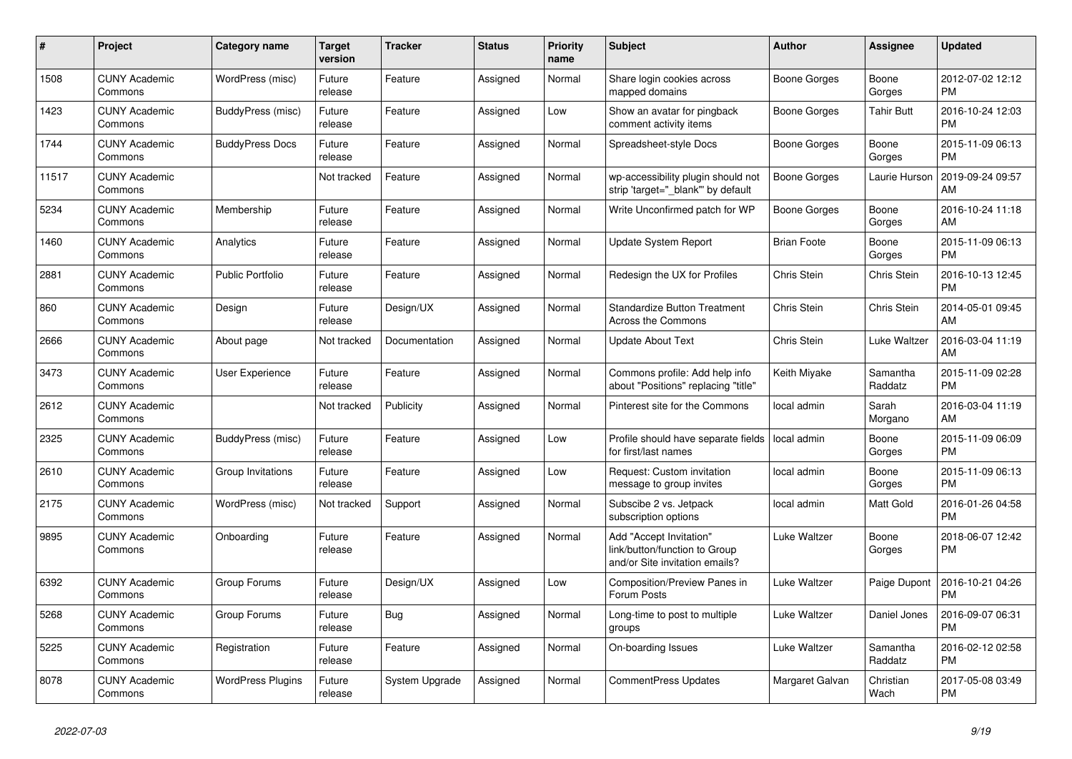| #     | Project                         | Category name            | <b>Target</b><br>version | <b>Tracker</b> | <b>Status</b> | Priority<br>name | <b>Subject</b>                                                                             | <b>Author</b>       | Assignee            | <b>Updated</b>                |
|-------|---------------------------------|--------------------------|--------------------------|----------------|---------------|------------------|--------------------------------------------------------------------------------------------|---------------------|---------------------|-------------------------------|
| 1508  | <b>CUNY Academic</b><br>Commons | WordPress (misc)         | Future<br>release        | Feature        | Assigned      | Normal           | Share login cookies across<br>mapped domains                                               | Boone Gorges        | Boone<br>Gorges     | 2012-07-02 12:12<br><b>PM</b> |
| 1423  | <b>CUNY Academic</b><br>Commons | BuddyPress (misc)        | Future<br>release        | Feature        | Assigned      | Low              | Show an avatar for pingback<br>comment activity items                                      | Boone Gorges        | Tahir Butt          | 2016-10-24 12:03<br><b>PM</b> |
| 1744  | <b>CUNY Academic</b><br>Commons | <b>BuddyPress Docs</b>   | Future<br>release        | Feature        | Assigned      | Normal           | Spreadsheet-style Docs                                                                     | Boone Gorges        | Boone<br>Gorges     | 2015-11-09 06:13<br><b>PM</b> |
| 11517 | <b>CUNY Academic</b><br>Commons |                          | Not tracked              | Feature        | Assigned      | Normal           | wp-accessibility plugin should not<br>strip 'target="_blank"' by default                   | Boone Gorges        | Laurie Hurson       | 2019-09-24 09:57<br>AM        |
| 5234  | <b>CUNY Academic</b><br>Commons | Membership               | Future<br>release        | Feature        | Assigned      | Normal           | Write Unconfirmed patch for WP                                                             | <b>Boone Gorges</b> | Boone<br>Gorges     | 2016-10-24 11:18<br>AM        |
| 1460  | <b>CUNY Academic</b><br>Commons | Analytics                | Future<br>release        | Feature        | Assigned      | Normal           | Update System Report                                                                       | <b>Brian Foote</b>  | Boone<br>Gorges     | 2015-11-09 06:13<br><b>PM</b> |
| 2881  | <b>CUNY Academic</b><br>Commons | <b>Public Portfolio</b>  | Future<br>release        | Feature        | Assigned      | Normal           | Redesign the UX for Profiles                                                               | Chris Stein         | Chris Stein         | 2016-10-13 12:45<br><b>PM</b> |
| 860   | <b>CUNY Academic</b><br>Commons | Design                   | Future<br>release        | Design/UX      | Assigned      | Normal           | <b>Standardize Button Treatment</b><br><b>Across the Commons</b>                           | Chris Stein         | <b>Chris Stein</b>  | 2014-05-01 09:45<br>AM        |
| 2666  | <b>CUNY Academic</b><br>Commons | About page               | Not tracked              | Documentation  | Assigned      | Normal           | <b>Update About Text</b>                                                                   | Chris Stein         | Luke Waltzer        | 2016-03-04 11:19<br>AM        |
| 3473  | <b>CUNY Academic</b><br>Commons | <b>User Experience</b>   | Future<br>release        | Feature        | Assigned      | Normal           | Commons profile: Add help info<br>about "Positions" replacing "title"                      | Keith Miyake        | Samantha<br>Raddatz | 2015-11-09 02:28<br><b>PM</b> |
| 2612  | <b>CUNY Academic</b><br>Commons |                          | Not tracked              | Publicity      | Assigned      | Normal           | Pinterest site for the Commons                                                             | local admin         | Sarah<br>Morgano    | 2016-03-04 11:19<br>AM        |
| 2325  | <b>CUNY Academic</b><br>Commons | <b>BuddyPress (misc)</b> | Future<br>release        | Feature        | Assigned      | Low              | Profile should have separate fields<br>for first/last names                                | local admin         | Boone<br>Gorges     | 2015-11-09 06:09<br><b>PM</b> |
| 2610  | <b>CUNY Academic</b><br>Commons | Group Invitations        | Future<br>release        | Feature        | Assigned      | Low              | Request: Custom invitation<br>message to group invites                                     | local admin         | Boone<br>Gorges     | 2015-11-09 06:13<br><b>PM</b> |
| 2175  | <b>CUNY Academic</b><br>Commons | WordPress (misc)         | Not tracked              | Support        | Assigned      | Normal           | Subscibe 2 vs. Jetpack<br>subscription options                                             | local admin         | Matt Gold           | 2016-01-26 04:58<br><b>PM</b> |
| 9895  | <b>CUNY Academic</b><br>Commons | Onboarding               | Future<br>release        | Feature        | Assigned      | Normal           | Add "Accept Invitation"<br>link/button/function to Group<br>and/or Site invitation emails? | Luke Waltzer        | Boone<br>Gorges     | 2018-06-07 12:42<br><b>PM</b> |
| 6392  | <b>CUNY Academic</b><br>Commons | Group Forums             | Future<br>release        | Design/UX      | Assigned      | Low              | <b>Composition/Preview Panes in</b><br>Forum Posts                                         | Luke Waltzer        | Paige Dupont        | 2016-10-21 04:26<br><b>PM</b> |
| 5268  | <b>CUNY Academic</b><br>Commons | Group Forums             | Future<br>release        | Bug            | Assigned      | Normal           | Long-time to post to multiple<br>groups                                                    | Luke Waltzer        | Daniel Jones        | 2016-09-07 06:31<br><b>PM</b> |
| 5225  | <b>CUNY Academic</b><br>Commons | Registration             | Future<br>release        | Feature        | Assigned      | Normal           | On-boarding Issues                                                                         | Luke Waltzer        | Samantha<br>Raddatz | 2016-02-12 02:58<br><b>PM</b> |
| 8078  | <b>CUNY Academic</b><br>Commons | <b>WordPress Plugins</b> | Future<br>release        | System Upgrade | Assigned      | Normal           | <b>CommentPress Updates</b>                                                                | Margaret Galvan     | Christian<br>Wach   | 2017-05-08 03:49<br><b>PM</b> |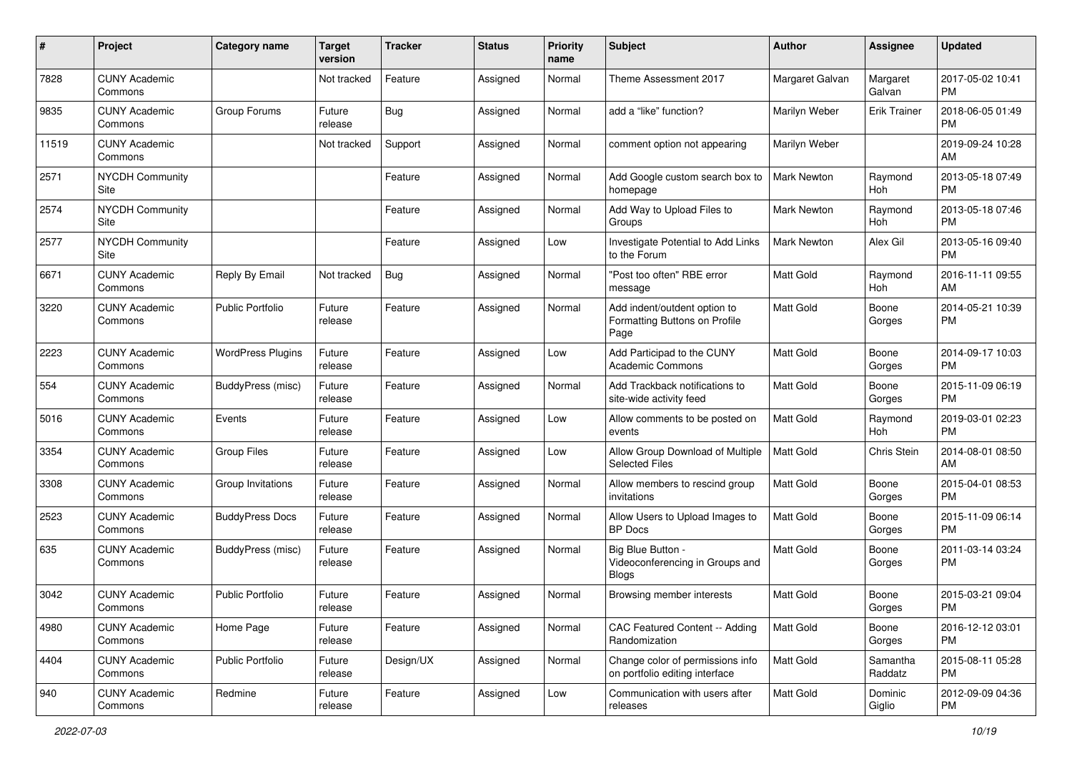| #     | Project                         | <b>Category name</b>     | <b>Target</b><br>version | <b>Tracker</b> | <b>Status</b> | <b>Priority</b><br>name | Subject                                                               | Author             | <b>Assignee</b>     | <b>Updated</b>                |
|-------|---------------------------------|--------------------------|--------------------------|----------------|---------------|-------------------------|-----------------------------------------------------------------------|--------------------|---------------------|-------------------------------|
| 7828  | <b>CUNY Academic</b><br>Commons |                          | Not tracked              | Feature        | Assigned      | Normal                  | Theme Assessment 2017                                                 | Margaret Galvan    | Margaret<br>Galvan  | 2017-05-02 10:41<br><b>PM</b> |
| 9835  | <b>CUNY Academic</b><br>Commons | Group Forums             | Future<br>release        | Bug            | Assigned      | Normal                  | add a "like" function?                                                | Marilyn Weber      | <b>Erik Trainer</b> | 2018-06-05 01:49<br><b>PM</b> |
| 11519 | <b>CUNY Academic</b><br>Commons |                          | Not tracked              | Support        | Assigned      | Normal                  | comment option not appearing                                          | Marilyn Weber      |                     | 2019-09-24 10:28<br>AM        |
| 2571  | <b>NYCDH Community</b><br>Site  |                          |                          | Feature        | Assigned      | Normal                  | Add Google custom search box to<br>homepage                           | <b>Mark Newton</b> | Raymond<br>Hoh      | 2013-05-18 07:49<br><b>PM</b> |
| 2574  | <b>NYCDH Community</b><br>Site  |                          |                          | Feature        | Assigned      | Normal                  | Add Way to Upload Files to<br>Groups                                  | Mark Newton        | Raymond<br>Hoh      | 2013-05-18 07:46<br><b>PM</b> |
| 2577  | <b>NYCDH Community</b><br>Site  |                          |                          | Feature        | Assigned      | Low                     | Investigate Potential to Add Links<br>to the Forum                    | Mark Newton        | Alex Gil            | 2013-05-16 09:40<br><b>PM</b> |
| 6671  | <b>CUNY Academic</b><br>Commons | Reply By Email           | Not tracked              | Bug            | Assigned      | Normal                  | "Post too often" RBE error<br>message                                 | <b>Matt Gold</b>   | Raymond<br>Hoh      | 2016-11-11 09:55<br>AM        |
| 3220  | <b>CUNY Academic</b><br>Commons | Public Portfolio         | Future<br>release        | Feature        | Assigned      | Normal                  | Add indent/outdent option to<br>Formatting Buttons on Profile<br>Page | <b>Matt Gold</b>   | Boone<br>Gorges     | 2014-05-21 10:39<br>PM.       |
| 2223  | <b>CUNY Academic</b><br>Commons | <b>WordPress Plugins</b> | Future<br>release        | Feature        | Assigned      | Low                     | Add Participad to the CUNY<br>Academic Commons                        | Matt Gold          | Boone<br>Gorges     | 2014-09-17 10:03<br>PM.       |
| 554   | <b>CUNY Academic</b><br>Commons | BuddyPress (misc)        | Future<br>release        | Feature        | Assigned      | Normal                  | Add Trackback notifications to<br>site-wide activity feed             | <b>Matt Gold</b>   | Boone<br>Gorges     | 2015-11-09 06:19<br><b>PM</b> |
| 5016  | <b>CUNY Academic</b><br>Commons | Events                   | Future<br>release        | Feature        | Assigned      | Low                     | Allow comments to be posted on<br>events                              | Matt Gold          | Raymond<br>Hoh      | 2019-03-01 02:23<br><b>PM</b> |
| 3354  | <b>CUNY Academic</b><br>Commons | <b>Group Files</b>       | Future<br>release        | Feature        | Assigned      | Low                     | Allow Group Download of Multiple<br><b>Selected Files</b>             | <b>Matt Gold</b>   | Chris Stein         | 2014-08-01 08:50<br>AM        |
| 3308  | <b>CUNY Academic</b><br>Commons | Group Invitations        | Future<br>release        | Feature        | Assigned      | Normal                  | Allow members to rescind group<br>invitations                         | <b>Matt Gold</b>   | Boone<br>Gorges     | 2015-04-01 08:53<br><b>PM</b> |
| 2523  | <b>CUNY Academic</b><br>Commons | <b>BuddyPress Docs</b>   | Future<br>release        | Feature        | Assigned      | Normal                  | Allow Users to Upload Images to<br><b>BP</b> Docs                     | Matt Gold          | Boone<br>Gorges     | 2015-11-09 06:14<br><b>PM</b> |
| 635   | <b>CUNY Academic</b><br>Commons | BuddyPress (misc)        | Future<br>release        | Feature        | Assigned      | Normal                  | Big Blue Button -<br>Videoconferencing in Groups and<br><b>Blogs</b>  | <b>Matt Gold</b>   | Boone<br>Gorges     | 2011-03-14 03:24<br><b>PM</b> |
| 3042  | <b>CUNY Academic</b><br>Commons | <b>Public Portfolio</b>  | Future<br>release        | Feature        | Assigned      | Normal                  | Browsing member interests                                             | <b>Matt Gold</b>   | Boone<br>Gorges     | 2015-03-21 09:04<br>PM        |
| 4980  | <b>CUNY Academic</b><br>Commons | Home Page                | Future<br>release        | Feature        | Assigned      | Normal                  | CAC Featured Content -- Adding<br>Randomization                       | Matt Gold          | Boone<br>Gorges     | 2016-12-12 03:01<br><b>PM</b> |
| 4404  | <b>CUNY Academic</b><br>Commons | Public Portfolio         | Future<br>release        | Design/UX      | Assigned      | Normal                  | Change color of permissions info<br>on portfolio editing interface    | Matt Gold          | Samantha<br>Raddatz | 2015-08-11 05:28<br><b>PM</b> |
| 940   | <b>CUNY Academic</b><br>Commons | Redmine                  | Future<br>release        | Feature        | Assigned      | Low                     | Communication with users after<br>releases                            | Matt Gold          | Dominic<br>Giglio   | 2012-09-09 04:36<br>PM        |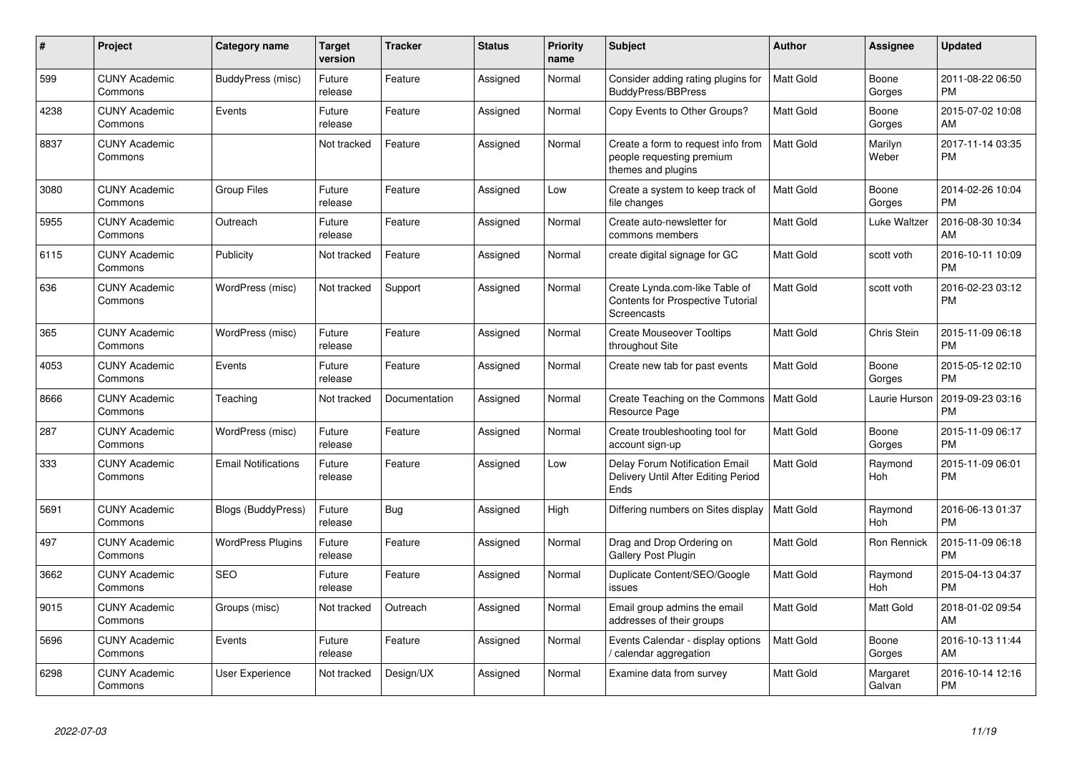| #    | Project                         | <b>Category name</b>       | <b>Target</b><br>version | <b>Tracker</b> | <b>Status</b> | <b>Priority</b><br>name | <b>Subject</b>                                                                        | Author           | <b>Assignee</b>    | <b>Updated</b>                |
|------|---------------------------------|----------------------------|--------------------------|----------------|---------------|-------------------------|---------------------------------------------------------------------------------------|------------------|--------------------|-------------------------------|
| 599  | <b>CUNY Academic</b><br>Commons | BuddyPress (misc)          | Future<br>release        | Feature        | Assigned      | Normal                  | Consider adding rating plugins for<br><b>BuddyPress/BBPress</b>                       | <b>Matt Gold</b> | Boone<br>Gorges    | 2011-08-22 06:50<br><b>PM</b> |
| 4238 | <b>CUNY Academic</b><br>Commons | Events                     | Future<br>release        | Feature        | Assigned      | Normal                  | Copy Events to Other Groups?                                                          | Matt Gold        | Boone<br>Gorges    | 2015-07-02 10:08<br>AM        |
| 8837 | <b>CUNY Academic</b><br>Commons |                            | Not tracked              | Feature        | Assigned      | Normal                  | Create a form to request info from<br>people requesting premium<br>themes and plugins | Matt Gold        | Marilyn<br>Weber   | 2017-11-14 03:35<br><b>PM</b> |
| 3080 | <b>CUNY Academic</b><br>Commons | <b>Group Files</b>         | Future<br>release        | Feature        | Assigned      | Low                     | Create a system to keep track of<br>file changes                                      | <b>Matt Gold</b> | Boone<br>Gorges    | 2014-02-26 10:04<br><b>PM</b> |
| 5955 | <b>CUNY Academic</b><br>Commons | Outreach                   | Future<br>release        | Feature        | Assigned      | Normal                  | Create auto-newsletter for<br>commons members                                         | <b>Matt Gold</b> | Luke Waltzer       | 2016-08-30 10:34<br>AM        |
| 6115 | <b>CUNY Academic</b><br>Commons | Publicity                  | Not tracked              | Feature        | Assigned      | Normal                  | create digital signage for GC                                                         | <b>Matt Gold</b> | scott voth         | 2016-10-11 10:09<br><b>PM</b> |
| 636  | <b>CUNY Academic</b><br>Commons | WordPress (misc)           | Not tracked              | Support        | Assigned      | Normal                  | Create Lynda.com-like Table of<br>Contents for Prospective Tutorial<br>Screencasts    | <b>Matt Gold</b> | scott voth         | 2016-02-23 03:12<br>PM        |
| 365  | <b>CUNY Academic</b><br>Commons | WordPress (misc)           | Future<br>release        | Feature        | Assigned      | Normal                  | <b>Create Mouseover Tooltips</b><br>throughout Site                                   | Matt Gold        | Chris Stein        | 2015-11-09 06:18<br><b>PM</b> |
| 4053 | <b>CUNY Academic</b><br>Commons | Events                     | Future<br>release        | Feature        | Assigned      | Normal                  | Create new tab for past events                                                        | <b>Matt Gold</b> | Boone<br>Gorges    | 2015-05-12 02:10<br><b>PM</b> |
| 8666 | <b>CUNY Academic</b><br>Commons | Teaching                   | Not tracked              | Documentation  | Assigned      | Normal                  | Create Teaching on the Commons<br>Resource Page                                       | Matt Gold        | Laurie Hurson      | 2019-09-23 03:16<br><b>PM</b> |
| 287  | <b>CUNY Academic</b><br>Commons | WordPress (misc)           | Future<br>release        | Feature        | Assigned      | Normal                  | Create troubleshooting tool for<br>account sign-up                                    | <b>Matt Gold</b> | Boone<br>Gorges    | 2015-11-09 06:17<br><b>PM</b> |
| 333  | <b>CUNY Academic</b><br>Commons | <b>Email Notifications</b> | Future<br>release        | Feature        | Assigned      | Low                     | Delay Forum Notification Email<br>Delivery Until After Editing Period<br>Ends         | <b>Matt Gold</b> | Raymond<br>Hoh     | 2015-11-09 06:01<br>PM        |
| 5691 | <b>CUNY Academic</b><br>Commons | <b>Blogs (BuddyPress)</b>  | Future<br>release        | Bug            | Assigned      | High                    | Differing numbers on Sites display                                                    | <b>Matt Gold</b> | Raymond<br>Hoh     | 2016-06-13 01:37<br><b>PM</b> |
| 497  | <b>CUNY Academic</b><br>Commons | <b>WordPress Plugins</b>   | Future<br>release        | Feature        | Assigned      | Normal                  | Drag and Drop Ordering on<br><b>Gallery Post Plugin</b>                               | Matt Gold        | Ron Rennick        | 2015-11-09 06:18<br><b>PM</b> |
| 3662 | <b>CUNY Academic</b><br>Commons | <b>SEO</b>                 | Future<br>release        | Feature        | Assigned      | Normal                  | Duplicate Content/SEO/Google<br>issues                                                | <b>Matt Gold</b> | Raymond<br>Hoh     | 2015-04-13 04:37<br><b>PM</b> |
| 9015 | <b>CUNY Academic</b><br>Commons | Groups (misc)              | Not tracked              | Outreach       | Assigned      | Normal                  | Email group admins the email<br>addresses of their groups                             | <b>Matt Gold</b> | <b>Matt Gold</b>   | 2018-01-02 09:54<br>AM        |
| 5696 | <b>CUNY Academic</b><br>Commons | Events                     | Future<br>release        | Feature        | Assigned      | Normal                  | Events Calendar - display options<br>calendar aggregation /                           | <b>Matt Gold</b> | Boone<br>Gorges    | 2016-10-13 11:44<br>AM        |
| 6298 | <b>CUNY Academic</b><br>Commons | <b>User Experience</b>     | Not tracked              | Design/UX      | Assigned      | Normal                  | Examine data from survey                                                              | Matt Gold        | Margaret<br>Galvan | 2016-10-14 12:16<br><b>PM</b> |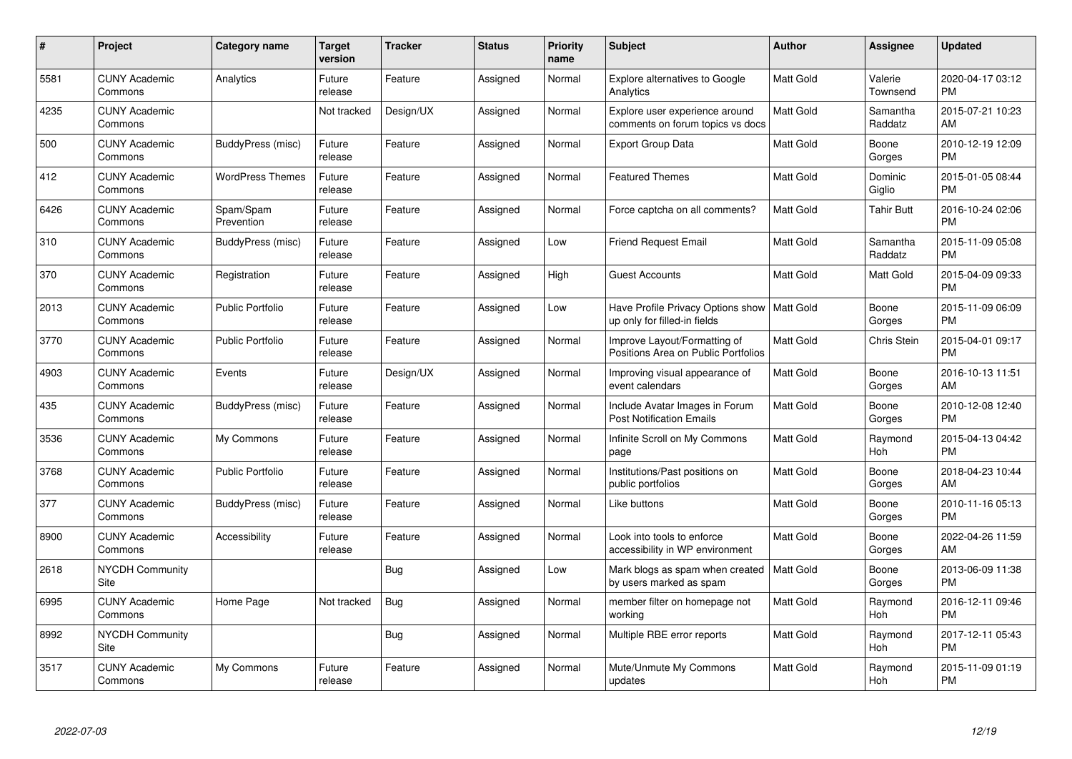| $\#$ | Project                               | <b>Category name</b>    | Target<br>version | <b>Tracker</b> | <b>Status</b> | Priority<br>name | <b>Subject</b>                                                                | <b>Author</b>    | <b>Assignee</b>     | <b>Updated</b>                |
|------|---------------------------------------|-------------------------|-------------------|----------------|---------------|------------------|-------------------------------------------------------------------------------|------------------|---------------------|-------------------------------|
| 5581 | <b>CUNY Academic</b><br>Commons       | Analytics               | Future<br>release | Feature        | Assigned      | Normal           | <b>Explore alternatives to Google</b><br>Analytics                            | <b>Matt Gold</b> | Valerie<br>Townsend | 2020-04-17 03:12<br><b>PM</b> |
| 4235 | <b>CUNY Academic</b><br>Commons       |                         | Not tracked       | Design/UX      | Assigned      | Normal           | Explore user experience around<br>comments on forum topics vs docs            | Matt Gold        | Samantha<br>Raddatz | 2015-07-21 10:23<br>AM        |
| 500  | <b>CUNY Academic</b><br>Commons       | BuddyPress (misc)       | Future<br>release | Feature        | Assigned      | Normal           | <b>Export Group Data</b>                                                      | Matt Gold        | Boone<br>Gorges     | 2010-12-19 12:09<br><b>PM</b> |
| 412  | <b>CUNY Academic</b><br>Commons       | <b>WordPress Themes</b> | Future<br>release | Feature        | Assigned      | Normal           | <b>Featured Themes</b>                                                        | <b>Matt Gold</b> | Dominic<br>Giglio   | 2015-01-05 08:44<br><b>PM</b> |
| 6426 | <b>CUNY Academic</b><br>Commons       | Spam/Spam<br>Prevention | Future<br>release | Feature        | Assigned      | Normal           | Force captcha on all comments?                                                | <b>Matt Gold</b> | <b>Tahir Butt</b>   | 2016-10-24 02:06<br><b>PM</b> |
| 310  | <b>CUNY Academic</b><br>Commons       | BuddyPress (misc)       | Future<br>release | Feature        | Assigned      | Low              | <b>Friend Request Email</b>                                                   | <b>Matt Gold</b> | Samantha<br>Raddatz | 2015-11-09 05:08<br><b>PM</b> |
| 370  | <b>CUNY Academic</b><br>Commons       | Registration            | Future<br>release | Feature        | Assigned      | High             | <b>Guest Accounts</b>                                                         | <b>Matt Gold</b> | Matt Gold           | 2015-04-09 09:33<br><b>PM</b> |
| 2013 | <b>CUNY Academic</b><br>Commons       | <b>Public Portfolio</b> | Future<br>release | Feature        | Assigned      | Low              | Have Profile Privacy Options show   Matt Gold<br>up only for filled-in fields |                  | Boone<br>Gorges     | 2015-11-09 06:09<br><b>PM</b> |
| 3770 | <b>CUNY Academic</b><br>Commons       | <b>Public Portfolio</b> | Future<br>release | Feature        | Assigned      | Normal           | Improve Layout/Formatting of<br>Positions Area on Public Portfolios           | Matt Gold        | Chris Stein         | 2015-04-01 09:17<br><b>PM</b> |
| 4903 | <b>CUNY Academic</b><br>Commons       | Events                  | Future<br>release | Design/UX      | Assigned      | Normal           | Improving visual appearance of<br>event calendars                             | <b>Matt Gold</b> | Boone<br>Gorges     | 2016-10-13 11:51<br>AM        |
| 435  | <b>CUNY Academic</b><br>Commons       | BuddyPress (misc)       | Future<br>release | Feature        | Assigned      | Normal           | Include Avatar Images in Forum<br><b>Post Notification Emails</b>             | Matt Gold        | Boone<br>Gorges     | 2010-12-08 12:40<br><b>PM</b> |
| 3536 | <b>CUNY Academic</b><br>Commons       | My Commons              | Future<br>release | Feature        | Assigned      | Normal           | Infinite Scroll on My Commons<br>page                                         | Matt Gold        | Raymond<br>Hoh      | 2015-04-13 04:42<br><b>PM</b> |
| 3768 | <b>CUNY Academic</b><br>Commons       | <b>Public Portfolio</b> | Future<br>release | Feature        | Assigned      | Normal           | Institutions/Past positions on<br>public portfolios                           | Matt Gold        | Boone<br>Gorges     | 2018-04-23 10:44<br>AM        |
| 377  | <b>CUNY Academic</b><br>Commons       | BuddyPress (misc)       | Future<br>release | Feature        | Assigned      | Normal           | Like buttons                                                                  | Matt Gold        | Boone<br>Gorges     | 2010-11-16 05:13<br><b>PM</b> |
| 8900 | <b>CUNY Academic</b><br>Commons       | Accessibility           | Future<br>release | Feature        | Assigned      | Normal           | Look into tools to enforce<br>accessibility in WP environment                 | Matt Gold        | Boone<br>Gorges     | 2022-04-26 11:59<br>AM        |
| 2618 | <b>NYCDH Community</b><br><b>Site</b> |                         |                   | <b>Bug</b>     | Assigned      | Low              | Mark blogs as spam when created<br>by users marked as spam                    | Matt Gold        | Boone<br>Gorges     | 2013-06-09 11:38<br><b>PM</b> |
| 6995 | <b>CUNY Academic</b><br>Commons       | Home Page               | Not tracked       | Bug            | Assigned      | Normal           | member filter on homepage not<br>working                                      | Matt Gold        | Raymond<br>Hoh      | 2016-12-11 09:46<br><b>PM</b> |
| 8992 | <b>NYCDH Community</b><br>Site        |                         |                   | Bug            | Assigned      | Normal           | Multiple RBE error reports                                                    | Matt Gold        | Raymond<br>Hoh      | 2017-12-11 05:43<br><b>PM</b> |
| 3517 | <b>CUNY Academic</b><br>Commons       | My Commons              | Future<br>release | Feature        | Assigned      | Normal           | Mute/Unmute My Commons<br>updates                                             | <b>Matt Gold</b> | Raymond<br>Hoh      | 2015-11-09 01:19<br><b>PM</b> |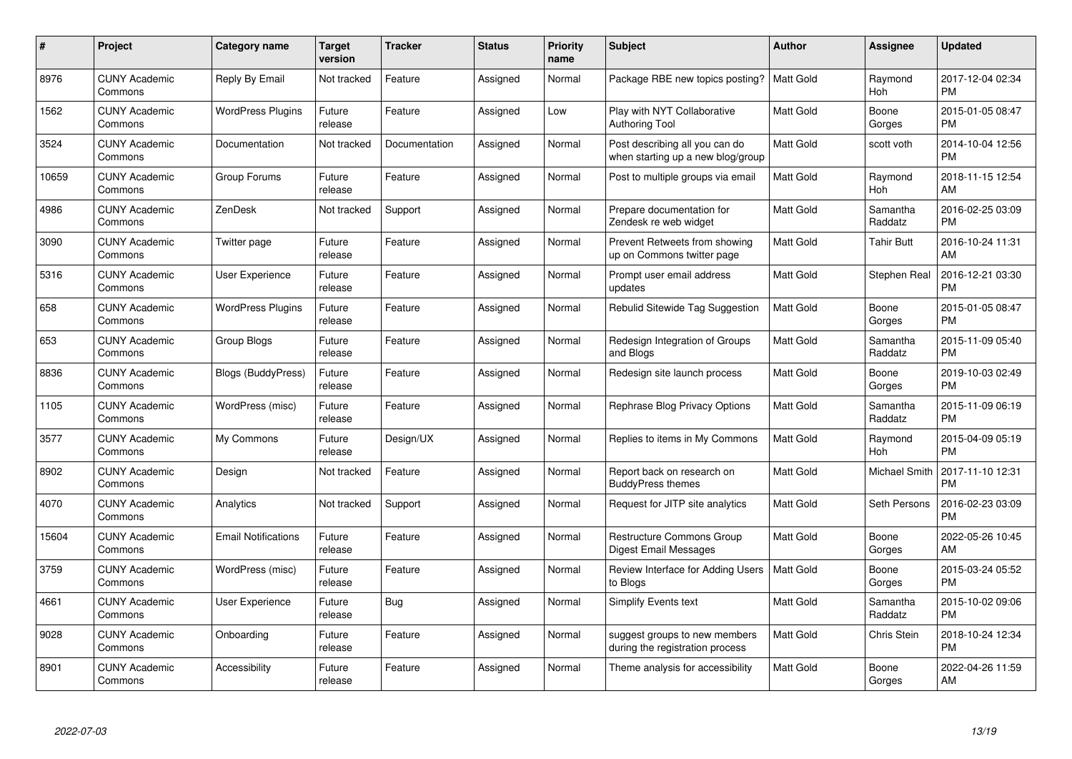| $\#$  | Project                         | <b>Category name</b>       | Target<br>version | <b>Tracker</b> | <b>Status</b> | Priority<br>name | <b>Subject</b>                                                      | <b>Author</b>    | <b>Assignee</b>     | <b>Updated</b>                |
|-------|---------------------------------|----------------------------|-------------------|----------------|---------------|------------------|---------------------------------------------------------------------|------------------|---------------------|-------------------------------|
| 8976  | <b>CUNY Academic</b><br>Commons | Reply By Email             | Not tracked       | Feature        | Assigned      | Normal           | Package RBE new topics posting?                                     | <b>Matt Gold</b> | Raymond<br>Hoh      | 2017-12-04 02:34<br><b>PM</b> |
| 1562  | <b>CUNY Academic</b><br>Commons | <b>WordPress Plugins</b>   | Future<br>release | Feature        | Assigned      | Low              | Play with NYT Collaborative<br><b>Authoring Tool</b>                | <b>Matt Gold</b> | Boone<br>Gorges     | 2015-01-05 08:47<br><b>PM</b> |
| 3524  | <b>CUNY Academic</b><br>Commons | Documentation              | Not tracked       | Documentation  | Assigned      | Normal           | Post describing all you can do<br>when starting up a new blog/group | <b>Matt Gold</b> | scott voth          | 2014-10-04 12:56<br><b>PM</b> |
| 10659 | <b>CUNY Academic</b><br>Commons | Group Forums               | Future<br>release | Feature        | Assigned      | Normal           | Post to multiple groups via email                                   | <b>Matt Gold</b> | Raymond<br>Hoh      | 2018-11-15 12:54<br>AM        |
| 4986  | <b>CUNY Academic</b><br>Commons | <b>ZenDesk</b>             | Not tracked       | Support        | Assigned      | Normal           | Prepare documentation for<br>Zendesk re web widget                  | Matt Gold        | Samantha<br>Raddatz | 2016-02-25 03:09<br><b>PM</b> |
| 3090  | <b>CUNY Academic</b><br>Commons | Twitter page               | Future<br>release | Feature        | Assigned      | Normal           | Prevent Retweets from showing<br>up on Commons twitter page         | Matt Gold        | <b>Tahir Butt</b>   | 2016-10-24 11:31<br>AM        |
| 5316  | <b>CUNY Academic</b><br>Commons | <b>User Experience</b>     | Future<br>release | Feature        | Assigned      | Normal           | Prompt user email address<br>updates                                | Matt Gold        | Stephen Real        | 2016-12-21 03:30<br><b>PM</b> |
| 658   | <b>CUNY Academic</b><br>Commons | <b>WordPress Plugins</b>   | Future<br>release | Feature        | Assigned      | Normal           | Rebulid Sitewide Tag Suggestion                                     | <b>Matt Gold</b> | Boone<br>Gorges     | 2015-01-05 08:47<br><b>PM</b> |
| 653   | <b>CUNY Academic</b><br>Commons | Group Blogs                | Future<br>release | Feature        | Assigned      | Normal           | Redesign Integration of Groups<br>and Blogs                         | Matt Gold        | Samantha<br>Raddatz | 2015-11-09 05:40<br><b>PM</b> |
| 8836  | <b>CUNY Academic</b><br>Commons | Blogs (BuddyPress)         | Future<br>release | Feature        | Assigned      | Normal           | Redesign site launch process                                        | <b>Matt Gold</b> | Boone<br>Gorges     | 2019-10-03 02:49<br><b>PM</b> |
| 1105  | <b>CUNY Academic</b><br>Commons | WordPress (misc)           | Future<br>release | Feature        | Assigned      | Normal           | Rephrase Blog Privacy Options                                       | Matt Gold        | Samantha<br>Raddatz | 2015-11-09 06:19<br><b>PM</b> |
| 3577  | <b>CUNY Academic</b><br>Commons | My Commons                 | Future<br>release | Design/UX      | Assigned      | Normal           | Replies to items in My Commons                                      | <b>Matt Gold</b> | Raymond<br>Hoh      | 2015-04-09 05:19<br><b>PM</b> |
| 8902  | <b>CUNY Academic</b><br>Commons | Design                     | Not tracked       | Feature        | Assigned      | Normal           | Report back on research on<br><b>BuddyPress themes</b>              | Matt Gold        | Michael Smith       | 2017-11-10 12:31<br><b>PM</b> |
| 4070  | <b>CUNY Academic</b><br>Commons | Analytics                  | Not tracked       | Support        | Assigned      | Normal           | Request for JITP site analytics                                     | Matt Gold        | Seth Persons        | 2016-02-23 03:09<br><b>PM</b> |
| 15604 | <b>CUNY Academic</b><br>Commons | <b>Email Notifications</b> | Future<br>release | Feature        | Assigned      | Normal           | Restructure Commons Group<br>Digest Email Messages                  | <b>Matt Gold</b> | Boone<br>Gorges     | 2022-05-26 10:45<br>AM        |
| 3759  | <b>CUNY Academic</b><br>Commons | WordPress (misc)           | Future<br>release | Feature        | Assigned      | Normal           | Review Interface for Adding Users<br>to Blogs                       | <b>Matt Gold</b> | Boone<br>Gorges     | 2015-03-24 05:52<br><b>PM</b> |
| 4661  | <b>CUNY Academic</b><br>Commons | User Experience            | Future<br>release | Bug            | Assigned      | Normal           | <b>Simplify Events text</b>                                         | <b>Matt Gold</b> | Samantha<br>Raddatz | 2015-10-02 09:06<br><b>PM</b> |
| 9028  | <b>CUNY Academic</b><br>Commons | Onboarding                 | Future<br>release | Feature        | Assigned      | Normal           | suggest groups to new members<br>during the registration process    | <b>Matt Gold</b> | Chris Stein         | 2018-10-24 12:34<br><b>PM</b> |
| 8901  | CUNY Academic<br>Commons        | Accessibility              | Future<br>release | Feature        | Assigned      | Normal           | Theme analysis for accessibility                                    | <b>Matt Gold</b> | Boone<br>Gorges     | 2022-04-26 11:59<br>AM        |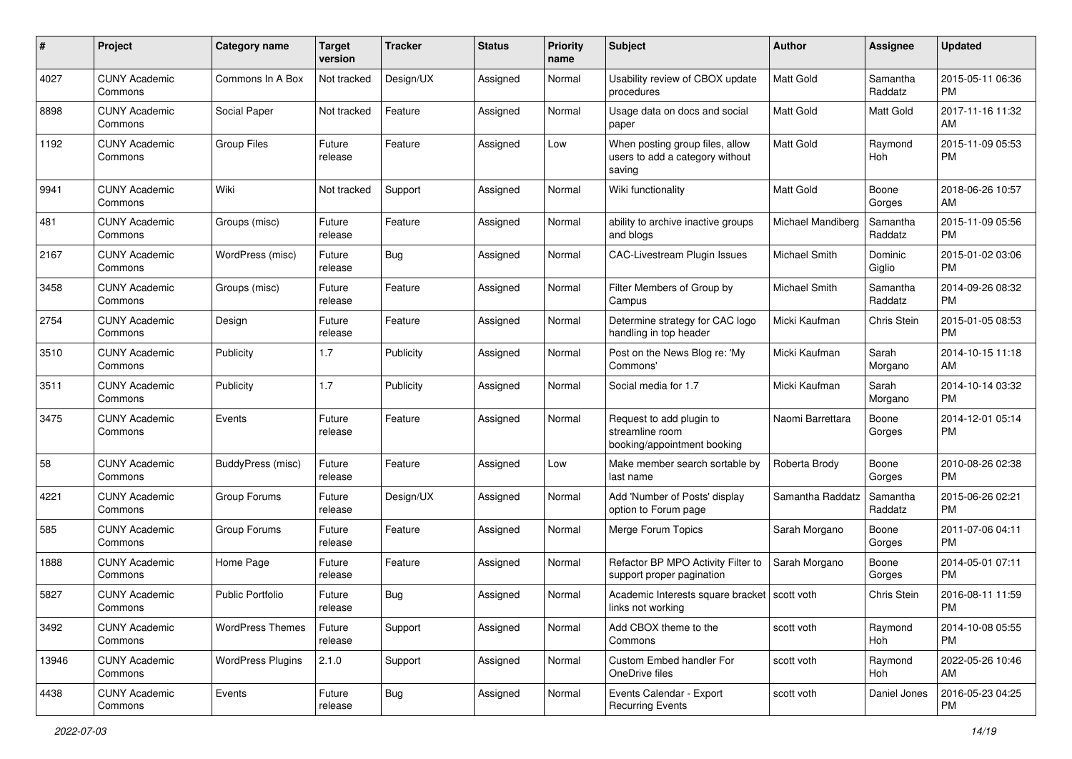| #     | Project                         | <b>Category name</b>     | <b>Target</b><br>version | <b>Tracker</b> | <b>Status</b> | <b>Priority</b><br>name | <b>Subject</b>                                                               | Author            | <b>Assignee</b>     | <b>Updated</b>                |
|-------|---------------------------------|--------------------------|--------------------------|----------------|---------------|-------------------------|------------------------------------------------------------------------------|-------------------|---------------------|-------------------------------|
| 4027  | <b>CUNY Academic</b><br>Commons | Commons In A Box         | Not tracked              | Design/UX      | Assigned      | Normal                  | Usability review of CBOX update<br>procedures                                | <b>Matt Gold</b>  | Samantha<br>Raddatz | 2015-05-11 06:36<br><b>PM</b> |
| 8898  | <b>CUNY Academic</b><br>Commons | Social Paper             | Not tracked              | Feature        | Assigned      | Normal                  | Usage data on docs and social<br>paper                                       | Matt Gold         | Matt Gold           | 2017-11-16 11:32<br>AM        |
| 1192  | <b>CUNY Academic</b><br>Commons | <b>Group Files</b>       | Future<br>release        | Feature        | Assigned      | Low                     | When posting group files, allow<br>users to add a category without<br>saving | Matt Gold         | Raymond<br>Hoh      | 2015-11-09 05:53<br><b>PM</b> |
| 9941  | <b>CUNY Academic</b><br>Commons | Wiki                     | Not tracked              | Support        | Assigned      | Normal                  | Wiki functionality                                                           | <b>Matt Gold</b>  | Boone<br>Gorges     | 2018-06-26 10:57<br>AM        |
| 481   | <b>CUNY Academic</b><br>Commons | Groups (misc)            | Future<br>release        | Feature        | Assigned      | Normal                  | ability to archive inactive groups<br>and blogs                              | Michael Mandiberg | Samantha<br>Raddatz | 2015-11-09 05:56<br><b>PM</b> |
| 2167  | <b>CUNY Academic</b><br>Commons | WordPress (misc)         | Future<br>release        | Bug            | Assigned      | Normal                  | CAC-Livestream Plugin Issues                                                 | Michael Smith     | Dominic<br>Giglio   | 2015-01-02 03:06<br><b>PM</b> |
| 3458  | <b>CUNY Academic</b><br>Commons | Groups (misc)            | Future<br>release        | Feature        | Assigned      | Normal                  | Filter Members of Group by<br>Campus                                         | Michael Smith     | Samantha<br>Raddatz | 2014-09-26 08:32<br><b>PM</b> |
| 2754  | <b>CUNY Academic</b><br>Commons | Design                   | Future<br>release        | Feature        | Assigned      | Normal                  | Determine strategy for CAC logo<br>handling in top header                    | Micki Kaufman     | Chris Stein         | 2015-01-05 08:53<br><b>PM</b> |
| 3510  | <b>CUNY Academic</b><br>Commons | Publicity                | 1.7                      | Publicity      | Assigned      | Normal                  | Post on the News Blog re: 'My<br>Commons'                                    | Micki Kaufman     | Sarah<br>Morgano    | 2014-10-15 11:18<br>AM        |
| 3511  | <b>CUNY Academic</b><br>Commons | Publicity                | 1.7                      | Publicity      | Assigned      | Normal                  | Social media for 1.7                                                         | Micki Kaufman     | Sarah<br>Morgano    | 2014-10-14 03:32<br><b>PM</b> |
| 3475  | <b>CUNY Academic</b><br>Commons | Events                   | Future<br>release        | Feature        | Assigned      | Normal                  | Request to add plugin to<br>streamline room<br>booking/appointment booking   | Naomi Barrettara  | Boone<br>Gorges     | 2014-12-01 05:14<br>PM        |
| 58    | <b>CUNY Academic</b><br>Commons | BuddyPress (misc)        | Future<br>release        | Feature        | Assigned      | Low                     | Make member search sortable by<br>last name                                  | Roberta Brody     | Boone<br>Gorges     | 2010-08-26 02:38<br><b>PM</b> |
| 4221  | <b>CUNY Academic</b><br>Commons | Group Forums             | Future<br>release        | Design/UX      | Assigned      | Normal                  | Add 'Number of Posts' display<br>option to Forum page                        | Samantha Raddatz  | Samantha<br>Raddatz | 2015-06-26 02:21<br><b>PM</b> |
| 585   | <b>CUNY Academic</b><br>Commons | Group Forums             | Future<br>release        | Feature        | Assigned      | Normal                  | Merge Forum Topics                                                           | Sarah Morgano     | Boone<br>Gorges     | 2011-07-06 04:11<br><b>PM</b> |
| 1888  | <b>CUNY Academic</b><br>Commons | Home Page                | Future<br>release        | Feature        | Assigned      | Normal                  | Refactor BP MPO Activity Filter to<br>support proper pagination              | Sarah Morgano     | Boone<br>Gorges     | 2014-05-01 07:11<br><b>PM</b> |
| 5827  | <b>CUNY Academic</b><br>Commons | <b>Public Portfolio</b>  | Future<br>release        | <b>Bug</b>     | Assigned      | Normal                  | Academic Interests square bracket   scott voth<br>links not working          |                   | Chris Stein         | 2016-08-11 11:59<br>PM        |
| 3492  | <b>CUNY Academic</b><br>Commons | <b>WordPress Themes</b>  | Future<br>release        | Support        | Assigned      | Normal                  | Add CBOX theme to the<br>Commons                                             | scott voth        | Raymond<br>Hoh      | 2014-10-08 05:55<br><b>PM</b> |
| 13946 | <b>CUNY Academic</b><br>Commons | <b>WordPress Plugins</b> | 2.1.0                    | Support        | Assigned      | Normal                  | Custom Embed handler For<br>OneDrive files                                   | scott voth        | Raymond<br>Hoh      | 2022-05-26 10:46<br>AM        |
| 4438  | <b>CUNY Academic</b><br>Commons | Events                   | Future<br>release        | <b>Bug</b>     | Assigned      | Normal                  | Events Calendar - Export<br><b>Recurring Events</b>                          | scott voth        | Daniel Jones        | 2016-05-23 04:25<br><b>PM</b> |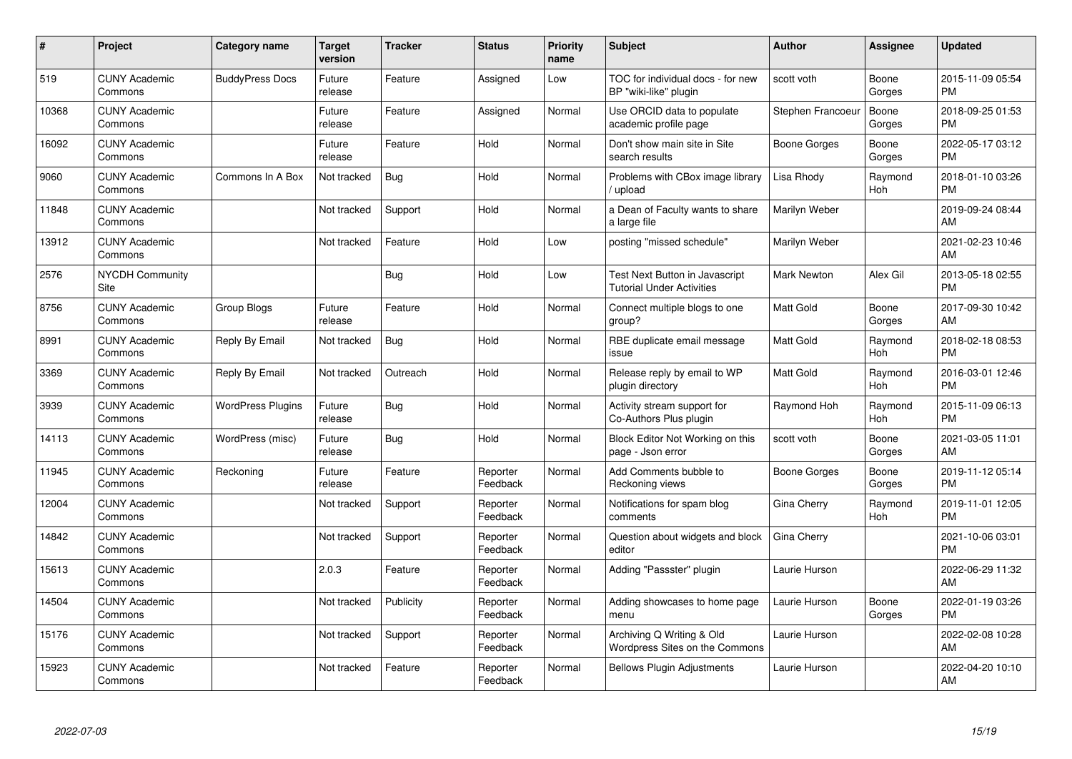| #     | <b>Project</b>                  | <b>Category name</b>     | <b>Target</b><br>version | <b>Tracker</b> | <b>Status</b>        | <b>Priority</b><br>name | <b>Subject</b>                                                     | Author             | Assignee        | <b>Updated</b>                |
|-------|---------------------------------|--------------------------|--------------------------|----------------|----------------------|-------------------------|--------------------------------------------------------------------|--------------------|-----------------|-------------------------------|
| 519   | <b>CUNY Academic</b><br>Commons | <b>BuddyPress Docs</b>   | Future<br>release        | Feature        | Assigned             | Low                     | TOC for individual docs - for new<br>BP "wiki-like" plugin         | scott voth         | Boone<br>Gorges | 2015-11-09 05:54<br><b>PM</b> |
| 10368 | <b>CUNY Academic</b><br>Commons |                          | Future<br>release        | Feature        | Assigned             | Normal                  | Use ORCID data to populate<br>academic profile page                | Stephen Francoeu   | Boone<br>Gorges | 2018-09-25 01:53<br><b>PM</b> |
| 16092 | <b>CUNY Academic</b><br>Commons |                          | Future<br>release        | Feature        | Hold                 | Normal                  | Don't show main site in Site<br>search results                     | Boone Gorges       | Boone<br>Gorges | 2022-05-17 03:12<br><b>PM</b> |
| 9060  | <b>CUNY Academic</b><br>Commons | Commons In A Box         | Not tracked              | Bug            | Hold                 | Normal                  | Problems with CBox image library<br>upload                         | Lisa Rhody         | Raymond<br>Hoh  | 2018-01-10 03:26<br><b>PM</b> |
| 11848 | <b>CUNY Academic</b><br>Commons |                          | Not tracked              | Support        | Hold                 | Normal                  | a Dean of Faculty wants to share<br>a large file                   | Marilyn Weber      |                 | 2019-09-24 08:44<br>AM        |
| 13912 | <b>CUNY Academic</b><br>Commons |                          | Not tracked              | Feature        | Hold                 | Low                     | posting "missed schedule"                                          | Marilyn Weber      |                 | 2021-02-23 10:46<br>AM        |
| 2576  | <b>NYCDH Community</b><br>Site  |                          |                          | Bug            | Hold                 | Low                     | Test Next Button in Javascript<br><b>Tutorial Under Activities</b> | <b>Mark Newton</b> | Alex Gil        | 2013-05-18 02:55<br><b>PM</b> |
| 8756  | <b>CUNY Academic</b><br>Commons | Group Blogs              | Future<br>release        | Feature        | Hold                 | Normal                  | Connect multiple blogs to one<br>group?                            | <b>Matt Gold</b>   | Boone<br>Gorges | 2017-09-30 10:42<br>AM        |
| 8991  | <b>CUNY Academic</b><br>Commons | Reply By Email           | Not tracked              | Bug            | Hold                 | Normal                  | RBE duplicate email message<br>issue                               | <b>Matt Gold</b>   | Raymond<br>Hoh  | 2018-02-18 08:53<br><b>PM</b> |
| 3369  | <b>CUNY Academic</b><br>Commons | Reply By Email           | Not tracked              | Outreach       | Hold                 | Normal                  | Release reply by email to WP<br>plugin directory                   | <b>Matt Gold</b>   | Raymond<br>Hoh  | 2016-03-01 12:46<br><b>PM</b> |
| 3939  | <b>CUNY Academic</b><br>Commons | <b>WordPress Plugins</b> | Future<br>release        | <b>Bug</b>     | Hold                 | Normal                  | Activity stream support for<br>Co-Authors Plus plugin              | Raymond Hoh        | Raymond<br>Hoh  | 2015-11-09 06:13<br><b>PM</b> |
| 14113 | <b>CUNY Academic</b><br>Commons | WordPress (misc)         | Future<br>release        | Bug            | Hold                 | Normal                  | Block Editor Not Working on this<br>page - Json error              | scott voth         | Boone<br>Gorges | 2021-03-05 11:01<br>AM        |
| 11945 | <b>CUNY Academic</b><br>Commons | Reckoning                | Future<br>release        | Feature        | Reporter<br>Feedback | Normal                  | Add Comments bubble to<br>Reckoning views                          | Boone Gorges       | Boone<br>Gorges | 2019-11-12 05:14<br><b>PM</b> |
| 12004 | <b>CUNY Academic</b><br>Commons |                          | Not tracked              | Support        | Reporter<br>Feedback | Normal                  | Notifications for spam blog<br>comments                            | Gina Cherry        | Raymond<br>Hoh  | 2019-11-01 12:05<br><b>PM</b> |
| 14842 | <b>CUNY Academic</b><br>Commons |                          | Not tracked              | Support        | Reporter<br>Feedback | Normal                  | Question about widgets and block<br>editor                         | Gina Cherry        |                 | 2021-10-06 03:01<br><b>PM</b> |
| 15613 | <b>CUNY Academic</b><br>Commons |                          | 2.0.3                    | Feature        | Reporter<br>Feedback | Normal                  | Adding "Passster" plugin                                           | Laurie Hurson      |                 | 2022-06-29 11:32<br>AM        |
| 14504 | <b>CUNY Academic</b><br>Commons |                          | Not tracked              | Publicity      | Reporter<br>Feedback | Normal                  | Adding showcases to home page<br>menu                              | Laurie Hurson      | Boone<br>Gorges | 2022-01-19 03:26<br><b>PM</b> |
| 15176 | <b>CUNY Academic</b><br>Commons |                          | Not tracked              | Support        | Reporter<br>Feedback | Normal                  | Archiving Q Writing & Old<br>Wordpress Sites on the Commons        | Laurie Hurson      |                 | 2022-02-08 10:28<br>AM        |
| 15923 | <b>CUNY Academic</b><br>Commons |                          | Not tracked              | Feature        | Reporter<br>Feedback | Normal                  | <b>Bellows Plugin Adjustments</b>                                  | Laurie Hurson      |                 | 2022-04-20 10:10<br>AM        |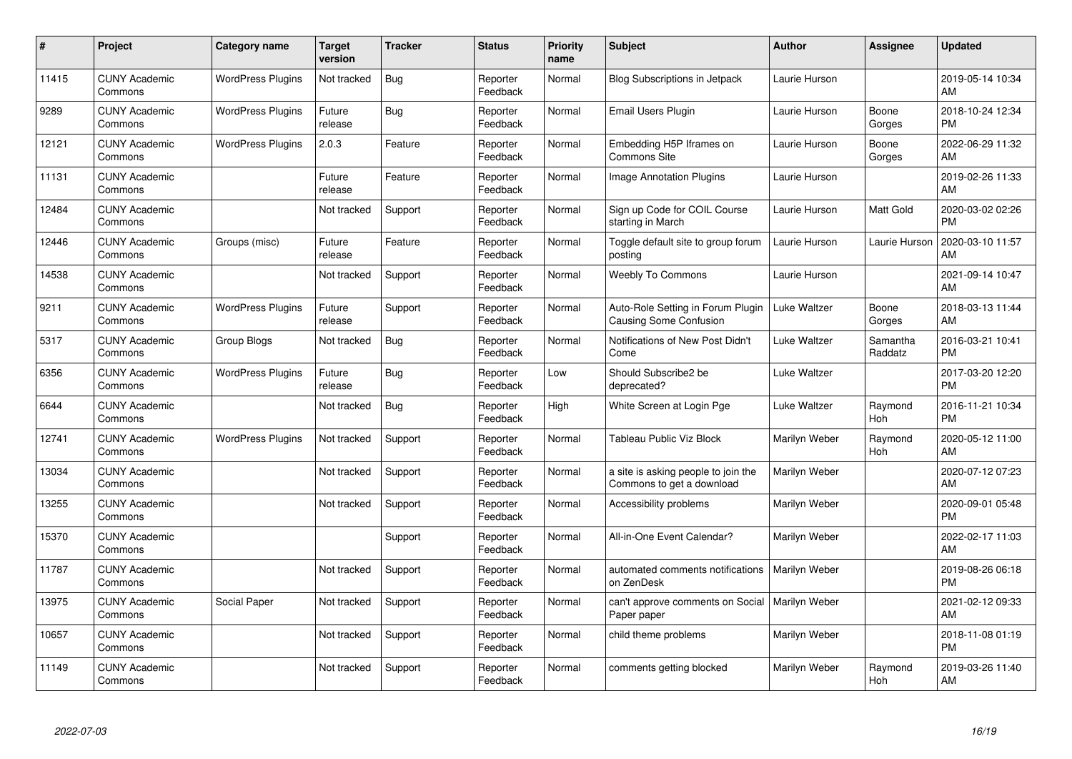| #     | Project                         | <b>Category name</b>     | Target<br>version | <b>Tracker</b> | <b>Status</b>        | <b>Priority</b><br>name | <b>Subject</b>                                                   | <b>Author</b> | <b>Assignee</b>     | <b>Updated</b>                |
|-------|---------------------------------|--------------------------|-------------------|----------------|----------------------|-------------------------|------------------------------------------------------------------|---------------|---------------------|-------------------------------|
| 11415 | <b>CUNY Academic</b><br>Commons | <b>WordPress Plugins</b> | Not tracked       | Bug            | Reporter<br>Feedback | Normal                  | <b>Blog Subscriptions in Jetpack</b>                             | Laurie Hurson |                     | 2019-05-14 10:34<br>AM        |
| 9289  | <b>CUNY Academic</b><br>Commons | <b>WordPress Plugins</b> | Future<br>release | Bug            | Reporter<br>Feedback | Normal                  | Email Users Plugin                                               | Laurie Hurson | Boone<br>Gorges     | 2018-10-24 12:34<br><b>PM</b> |
| 12121 | <b>CUNY Academic</b><br>Commons | <b>WordPress Plugins</b> | 2.0.3             | Feature        | Reporter<br>Feedback | Normal                  | Embedding H5P Iframes on<br><b>Commons Site</b>                  | Laurie Hurson | Boone<br>Gorges     | 2022-06-29 11:32<br>AM        |
| 11131 | <b>CUNY Academic</b><br>Commons |                          | Future<br>release | Feature        | Reporter<br>Feedback | Normal                  | Image Annotation Plugins                                         | Laurie Hurson |                     | 2019-02-26 11:33<br>AM        |
| 12484 | <b>CUNY Academic</b><br>Commons |                          | Not tracked       | Support        | Reporter<br>Feedback | Normal                  | Sign up Code for COIL Course<br>starting in March                | Laurie Hurson | Matt Gold           | 2020-03-02 02:26<br><b>PM</b> |
| 12446 | <b>CUNY Academic</b><br>Commons | Groups (misc)            | Future<br>release | Feature        | Reporter<br>Feedback | Normal                  | Toggle default site to group forum<br>posting                    | Laurie Hurson | Laurie Hurson       | 2020-03-10 11:57<br>AM        |
| 14538 | <b>CUNY Academic</b><br>Commons |                          | Not tracked       | Support        | Reporter<br>Feedback | Normal                  | <b>Weebly To Commons</b>                                         | Laurie Hurson |                     | 2021-09-14 10:47<br>AM        |
| 9211  | <b>CUNY Academic</b><br>Commons | <b>WordPress Plugins</b> | Future<br>release | Support        | Reporter<br>Feedback | Normal                  | Auto-Role Setting in Forum Plugin<br>Causing Some Confusion      | Luke Waltzer  | Boone<br>Gorges     | 2018-03-13 11:44<br>AM        |
| 5317  | <b>CUNY Academic</b><br>Commons | Group Blogs              | Not tracked       | Bug            | Reporter<br>Feedback | Normal                  | Notifications of New Post Didn't<br>Come                         | Luke Waltzer  | Samantha<br>Raddatz | 2016-03-21 10:41<br><b>PM</b> |
| 6356  | <b>CUNY Academic</b><br>Commons | <b>WordPress Plugins</b> | Future<br>release | <b>Bug</b>     | Reporter<br>Feedback | Low                     | Should Subscribe2 be<br>deprecated?                              | Luke Waltzer  |                     | 2017-03-20 12:20<br>PM        |
| 6644  | <b>CUNY Academic</b><br>Commons |                          | Not tracked       | Bug            | Reporter<br>Feedback | High                    | White Screen at Login Pge                                        | Luke Waltzer  | Raymond<br>Hoh      | 2016-11-21 10:34<br><b>PM</b> |
| 12741 | <b>CUNY Academic</b><br>Commons | <b>WordPress Plugins</b> | Not tracked       | Support        | Reporter<br>Feedback | Normal                  | <b>Tableau Public Viz Block</b>                                  | Marilyn Weber | Raymond<br>Hoh      | 2020-05-12 11:00<br>AM        |
| 13034 | <b>CUNY Academic</b><br>Commons |                          | Not tracked       | Support        | Reporter<br>Feedback | Normal                  | a site is asking people to join the<br>Commons to get a download | Marilyn Weber |                     | 2020-07-12 07:23<br>AM        |
| 13255 | <b>CUNY Academic</b><br>Commons |                          | Not tracked       | Support        | Reporter<br>Feedback | Normal                  | Accessibility problems                                           | Marilyn Weber |                     | 2020-09-01 05:48<br><b>PM</b> |
| 15370 | <b>CUNY Academic</b><br>Commons |                          |                   | Support        | Reporter<br>Feedback | Normal                  | All-in-One Event Calendar?                                       | Marilyn Weber |                     | 2022-02-17 11:03<br><b>AM</b> |
| 11787 | <b>CUNY Academic</b><br>Commons |                          | Not tracked       | Support        | Reporter<br>Feedback | Normal                  | automated comments notifications<br>on ZenDesk                   | Marilyn Weber |                     | 2019-08-26 06:18<br><b>PM</b> |
| 13975 | <b>CUNY Academic</b><br>Commons | Social Paper             | Not tracked       | Support        | Reporter<br>Feedback | Normal                  | can't approve comments on Social   Marilyn Weber<br>Paper paper  |               |                     | 2021-02-12 09:33<br><b>AM</b> |
| 10657 | <b>CUNY Academic</b><br>Commons |                          | Not tracked       | Support        | Reporter<br>Feedback | Normal                  | child theme problems                                             | Marilyn Weber |                     | 2018-11-08 01:19<br><b>PM</b> |
| 11149 | <b>CUNY Academic</b><br>Commons |                          | Not tracked       | Support        | Reporter<br>Feedback | Normal                  | comments getting blocked                                         | Marilyn Weber | Raymond<br>Hoh      | 2019-03-26 11:40<br>AM        |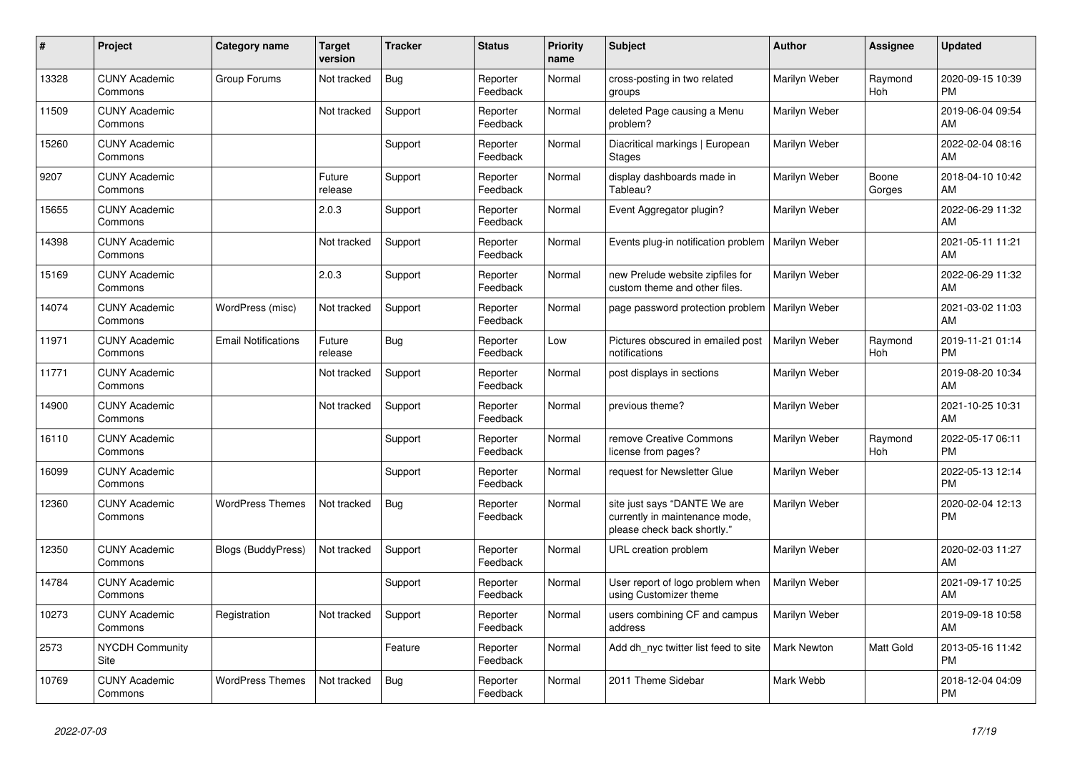| #     | <b>Project</b>                  | <b>Category name</b>       | <b>Target</b><br>version | <b>Tracker</b> | <b>Status</b>        | <b>Priority</b><br>name | <b>Subject</b>                                                                                | <b>Author</b>      | <b>Assignee</b> | <b>Updated</b>                |
|-------|---------------------------------|----------------------------|--------------------------|----------------|----------------------|-------------------------|-----------------------------------------------------------------------------------------------|--------------------|-----------------|-------------------------------|
| 13328 | <b>CUNY Academic</b><br>Commons | Group Forums               | Not tracked              | <b>Bug</b>     | Reporter<br>Feedback | Normal                  | cross-posting in two related<br>groups                                                        | Marilyn Weber      | Raymond<br>Hoh  | 2020-09-15 10:39<br><b>PM</b> |
| 11509 | <b>CUNY Academic</b><br>Commons |                            | Not tracked              | Support        | Reporter<br>Feedback | Normal                  | deleted Page causing a Menu<br>problem?                                                       | Marilyn Weber      |                 | 2019-06-04 09:54<br>AM        |
| 15260 | <b>CUNY Academic</b><br>Commons |                            |                          | Support        | Reporter<br>Feedback | Normal                  | Diacritical markings   European<br><b>Stages</b>                                              | Marilyn Weber      |                 | 2022-02-04 08:16<br>AM        |
| 9207  | <b>CUNY Academic</b><br>Commons |                            | Future<br>release        | Support        | Reporter<br>Feedback | Normal                  | display dashboards made in<br>Tableau?                                                        | Marilyn Weber      | Boone<br>Gorges | 2018-04-10 10:42<br>AM        |
| 15655 | <b>CUNY Academic</b><br>Commons |                            | 2.0.3                    | Support        | Reporter<br>Feedback | Normal                  | Event Aggregator plugin?                                                                      | Marilyn Weber      |                 | 2022-06-29 11:32<br>AM        |
| 14398 | <b>CUNY Academic</b><br>Commons |                            | Not tracked              | Support        | Reporter<br>Feedback | Normal                  | Events plug-in notification problem                                                           | Marilyn Weber      |                 | 2021-05-11 11:21<br>AM        |
| 15169 | <b>CUNY Academic</b><br>Commons |                            | 2.0.3                    | Support        | Reporter<br>Feedback | Normal                  | new Prelude website zipfiles for<br>custom theme and other files.                             | Marilyn Weber      |                 | 2022-06-29 11:32<br>AM        |
| 14074 | <b>CUNY Academic</b><br>Commons | WordPress (misc)           | Not tracked              | Support        | Reporter<br>Feedback | Normal                  | page password protection problem                                                              | Marilyn Weber      |                 | 2021-03-02 11:03<br>AM        |
| 11971 | <b>CUNY Academic</b><br>Commons | <b>Email Notifications</b> | Future<br>release        | Bug            | Reporter<br>Feedback | Low                     | Pictures obscured in emailed post<br>notifications                                            | Marilyn Weber      | Raymond<br>Hoh  | 2019-11-21 01:14<br><b>PM</b> |
| 11771 | <b>CUNY Academic</b><br>Commons |                            | Not tracked              | Support        | Reporter<br>Feedback | Normal                  | post displays in sections                                                                     | Marilyn Weber      |                 | 2019-08-20 10:34<br>AM        |
| 14900 | <b>CUNY Academic</b><br>Commons |                            | Not tracked              | Support        | Reporter<br>Feedback | Normal                  | previous theme?                                                                               | Marilyn Weber      |                 | 2021-10-25 10:31<br>AM        |
| 16110 | <b>CUNY Academic</b><br>Commons |                            |                          | Support        | Reporter<br>Feedback | Normal                  | remove Creative Commons<br>license from pages?                                                | Marilyn Weber      | Raymond<br>Hoh  | 2022-05-17 06:11<br><b>PM</b> |
| 16099 | <b>CUNY Academic</b><br>Commons |                            |                          | Support        | Reporter<br>Feedback | Normal                  | request for Newsletter Glue                                                                   | Marilyn Weber      |                 | 2022-05-13 12:14<br><b>PM</b> |
| 12360 | <b>CUNY Academic</b><br>Commons | <b>WordPress Themes</b>    | Not tracked              | Bug            | Reporter<br>Feedback | Normal                  | site just says "DANTE We are<br>currently in maintenance mode,<br>please check back shortly." | Marilyn Weber      |                 | 2020-02-04 12:13<br><b>PM</b> |
| 12350 | <b>CUNY Academic</b><br>Commons | <b>Blogs (BuddyPress)</b>  | Not tracked              | Support        | Reporter<br>Feedback | Normal                  | URL creation problem                                                                          | Marilyn Weber      |                 | 2020-02-03 11:27<br>AM        |
| 14784 | <b>CUNY Academic</b><br>Commons |                            |                          | Support        | Reporter<br>Feedback | Normal                  | User report of logo problem when<br>using Customizer theme                                    | Marilyn Weber      |                 | 2021-09-17 10:25<br>AM        |
| 10273 | <b>CUNY Academic</b><br>Commons | Registration               | Not tracked              | Support        | Reporter<br>Feedback | Normal                  | users combining CF and campus<br>address                                                      | Marilyn Weber      |                 | 2019-09-18 10:58<br>AM        |
| 2573  | <b>NYCDH Community</b><br>Site  |                            |                          | Feature        | Reporter<br>Feedback | Normal                  | Add dh nyc twitter list feed to site                                                          | <b>Mark Newton</b> | Matt Gold       | 2013-05-16 11:42<br><b>PM</b> |
| 10769 | <b>CUNY Academic</b><br>Commons | <b>WordPress Themes</b>    | Not tracked              | Bug            | Reporter<br>Feedback | Normal                  | 2011 Theme Sidebar                                                                            | Mark Webb          |                 | 2018-12-04 04:09<br><b>PM</b> |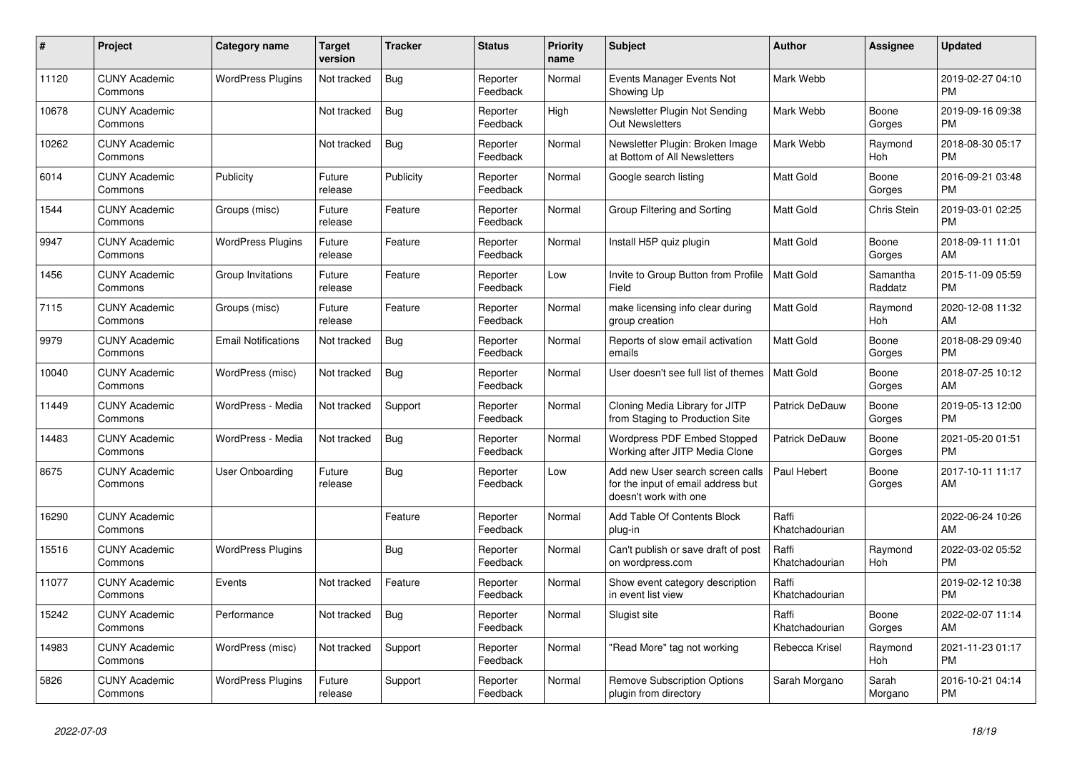| #     | Project                         | <b>Category name</b>       | Target<br>version | <b>Tracker</b> | <b>Status</b>        | <b>Priority</b><br>name | <b>Subject</b>                                                                                  | <b>Author</b>           | Assignee            | <b>Updated</b>                |
|-------|---------------------------------|----------------------------|-------------------|----------------|----------------------|-------------------------|-------------------------------------------------------------------------------------------------|-------------------------|---------------------|-------------------------------|
| 11120 | <b>CUNY Academic</b><br>Commons | <b>WordPress Plugins</b>   | Not tracked       | <b>Bug</b>     | Reporter<br>Feedback | Normal                  | Events Manager Events Not<br>Showing Up                                                         | Mark Webb               |                     | 2019-02-27 04:10<br><b>PM</b> |
| 10678 | <b>CUNY Academic</b><br>Commons |                            | Not tracked       | <b>Bug</b>     | Reporter<br>Feedback | High                    | Newsletter Plugin Not Sending<br><b>Out Newsletters</b>                                         | Mark Webb               | Boone<br>Gorges     | 2019-09-16 09:38<br><b>PM</b> |
| 10262 | <b>CUNY Academic</b><br>Commons |                            | Not tracked       | Bug            | Reporter<br>Feedback | Normal                  | Newsletter Plugin: Broken Image<br>at Bottom of All Newsletters                                 | Mark Webb               | Raymond<br>Hoh      | 2018-08-30 05:17<br><b>PM</b> |
| 6014  | <b>CUNY Academic</b><br>Commons | Publicity                  | Future<br>release | Publicity      | Reporter<br>Feedback | Normal                  | Google search listing                                                                           | <b>Matt Gold</b>        | Boone<br>Gorges     | 2016-09-21 03:48<br><b>PM</b> |
| 1544  | <b>CUNY Academic</b><br>Commons | Groups (misc)              | Future<br>release | Feature        | Reporter<br>Feedback | Normal                  | Group Filtering and Sorting                                                                     | Matt Gold               | Chris Stein         | 2019-03-01 02:25<br><b>PM</b> |
| 9947  | <b>CUNY Academic</b><br>Commons | <b>WordPress Plugins</b>   | Future<br>release | Feature        | Reporter<br>Feedback | Normal                  | Install H5P quiz plugin                                                                         | <b>Matt Gold</b>        | Boone<br>Gorges     | 2018-09-11 11:01<br>AM        |
| 1456  | <b>CUNY Academic</b><br>Commons | Group Invitations          | Future<br>release | Feature        | Reporter<br>Feedback | Low                     | Invite to Group Button from Profile<br>Field                                                    | <b>Matt Gold</b>        | Samantha<br>Raddatz | 2015-11-09 05:59<br><b>PM</b> |
| 7115  | <b>CUNY Academic</b><br>Commons | Groups (misc)              | Future<br>release | Feature        | Reporter<br>Feedback | Normal                  | make licensing info clear during<br>group creation                                              | Matt Gold               | Raymond<br>Hoh      | 2020-12-08 11:32<br>AM        |
| 9979  | <b>CUNY Academic</b><br>Commons | <b>Email Notifications</b> | Not tracked       | Bug            | Reporter<br>Feedback | Normal                  | Reports of slow email activation<br>emails                                                      | <b>Matt Gold</b>        | Boone<br>Gorges     | 2018-08-29 09:40<br><b>PM</b> |
| 10040 | <b>CUNY Academic</b><br>Commons | WordPress (misc)           | Not tracked       | Bug            | Reporter<br>Feedback | Normal                  | User doesn't see full list of themes                                                            | <b>Matt Gold</b>        | Boone<br>Gorges     | 2018-07-25 10:12<br>AM        |
| 11449 | <b>CUNY Academic</b><br>Commons | WordPress - Media          | Not tracked       | Support        | Reporter<br>Feedback | Normal                  | Cloning Media Library for JITP<br>from Staging to Production Site                               | Patrick DeDauw          | Boone<br>Gorges     | 2019-05-13 12:00<br><b>PM</b> |
| 14483 | <b>CUNY Academic</b><br>Commons | WordPress - Media          | Not tracked       | <b>Bug</b>     | Reporter<br>Feedback | Normal                  | <b>Wordpress PDF Embed Stopped</b><br>Working after JITP Media Clone                            | Patrick DeDauw          | Boone<br>Gorges     | 2021-05-20 01:51<br><b>PM</b> |
| 8675  | <b>CUNY Academic</b><br>Commons | User Onboarding            | Future<br>release | <b>Bug</b>     | Reporter<br>Feedback | Low                     | Add new User search screen calls<br>for the input of email address but<br>doesn't work with one | Paul Hebert             | Boone<br>Gorges     | 2017-10-11 11:17<br>AM        |
| 16290 | <b>CUNY Academic</b><br>Commons |                            |                   | Feature        | Reporter<br>Feedback | Normal                  | Add Table Of Contents Block<br>plug-in                                                          | Raffi<br>Khatchadourian |                     | 2022-06-24 10:26<br><b>AM</b> |
| 15516 | <b>CUNY Academic</b><br>Commons | <b>WordPress Plugins</b>   |                   | Bug            | Reporter<br>Feedback | Normal                  | Can't publish or save draft of post<br>on wordpress.com                                         | Raffi<br>Khatchadourian | Raymond<br>Hoh      | 2022-03-02 05:52<br><b>PM</b> |
| 11077 | <b>CUNY Academic</b><br>Commons | Events                     | Not tracked       | Feature        | Reporter<br>Feedback | Normal                  | Show event category description<br>in event list view                                           | Raffi<br>Khatchadourian |                     | 2019-02-12 10:38<br><b>PM</b> |
| 15242 | <b>CUNY Academic</b><br>Commons | Performance                | Not tracked       | Bug            | Reporter<br>Feedback | Normal                  | Slugist site                                                                                    | Raffi<br>Khatchadourian | Boone<br>Gorges     | 2022-02-07 11:14<br><b>AM</b> |
| 14983 | <b>CUNY Academic</b><br>Commons | WordPress (misc)           | Not tracked       | Support        | Reporter<br>Feedback | Normal                  | "Read More" tag not working                                                                     | Rebecca Krisel          | Raymond<br>Hoh      | 2021-11-23 01:17<br><b>PM</b> |
| 5826  | <b>CUNY Academic</b><br>Commons | <b>WordPress Plugins</b>   | Future<br>release | Support        | Reporter<br>Feedback | Normal                  | Remove Subscription Options<br>plugin from directory                                            | Sarah Morgano           | Sarah<br>Morgano    | 2016-10-21 04:14<br><b>PM</b> |